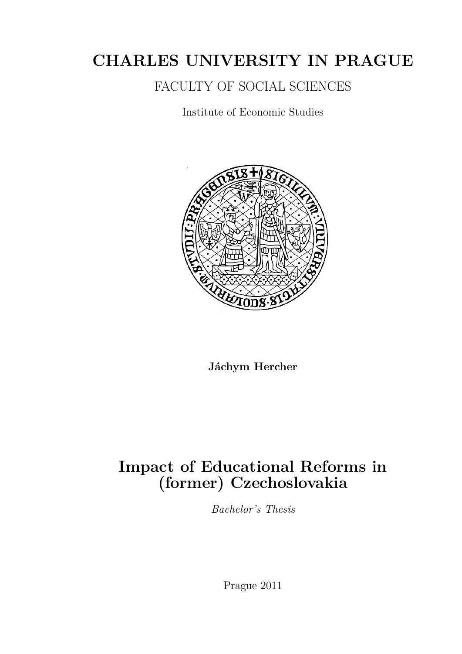# **CHARLES UNIVERSITY IN PRAGUE**

FACULTY OF SOCIAL SCIENCES

Institute of Economic Studies



**Jáchym Hercher**

# **Impact of Educational Reforms in (former) Czechoslovakia**

*Bachelor's Thesis*

Prague 2011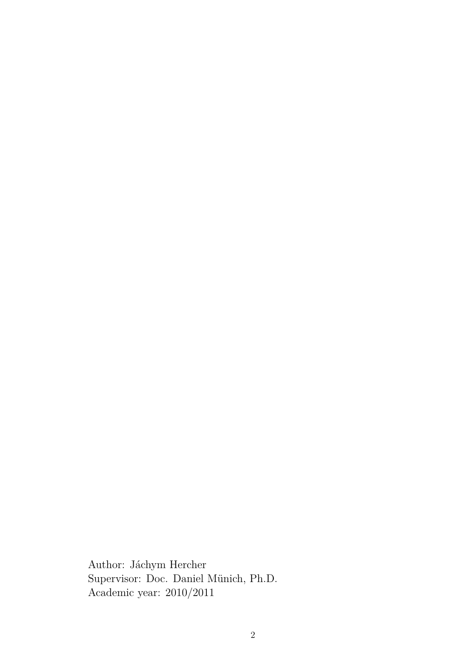Author: Jáchym Hercher Supervisor: Doc. Daniel Münich, Ph.D. Academic year: 2010/2011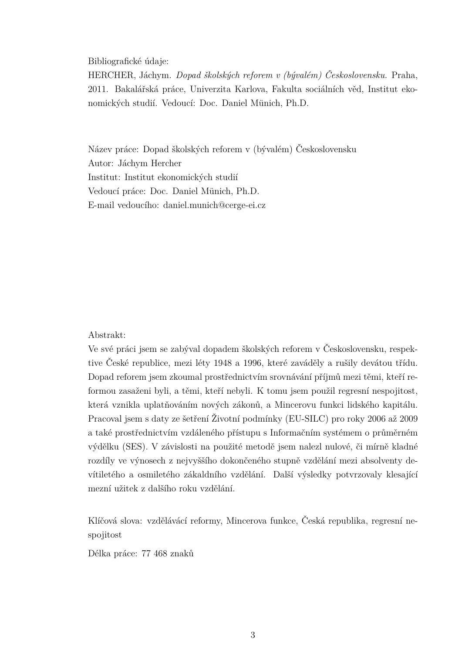Bibliografické údaje:

HERCHER, Jáchym. *Dopad školských reforem v (bývalém) Československu.* Praha, 2011. Bakalářská práce, Univerzita Karlova, Fakulta sociálních věd, Institut ekonomických studií. Vedoucí: Doc. Daniel Münich, Ph.D.

Název práce: Dopad školských reforem v (bývalém) Československu Autor: Jáchym Hercher Institut: Institut ekonomických studií Vedoucí práce: Doc. Daniel Münich, Ph.D. E-mail vedoucího: daniel.munich@cerge-ei.cz

#### Abstrakt:

Ve své práci jsem se zabýval dopadem školských reforem v Československu, respektive České republice, mezi léty 1948 a 1996, které zaváděly a rušily devátou třídu. Dopad reforem jsem zkoumal prostřednictvím srovnávání příjmů mezi těmi, kteří reformou zasaženi byli, a těmi, kteří nebyli. K tomu jsem použil regresní nespojitost, která vznikla uplatňováním nových zákonů, a Mincerovu funkci lidského kapitálu. Pracoval jsem s daty ze šetření Životní podmínky (EU-SILC) pro roky 2006 až 2009 a také prostřednictvím vzdáleného přístupu s Informačním systémem o průměrném výdělku (SES). V závislosti na použité metodě jsem nalezl nulové, či mírně kladné rozdíly ve výnosech z nejvyššího dokončeného stupně vzdělání mezi absolventy devítiletého a osmiletého zákaldního vzdělání. Další výsledky potvrzovaly klesající mezní užitek z dalšího roku vzdělání.

Klíčová slova: vzdělávácí reformy, Mincerova funkce, Česká republika, regresní nespojitost

Délka práce: 77 468 znaků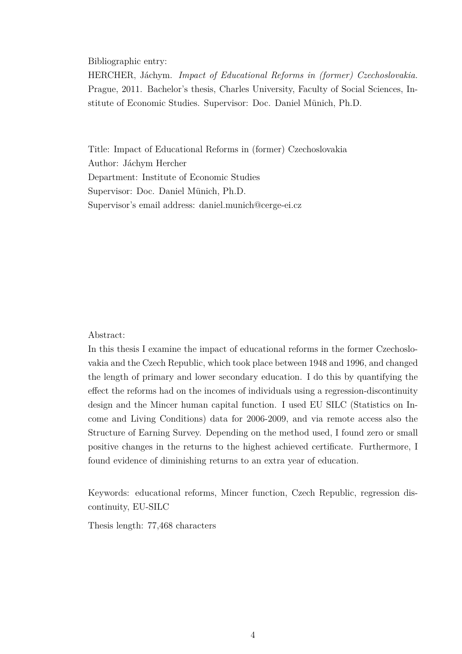Bibliographic entry:

HERCHER, Jáchym. *Impact of Educational Reforms in (former) Czechoslovakia.* Prague, 2011. Bachelor's thesis, Charles University, Faculty of Social Sciences, Institute of Economic Studies. Supervisor: Doc. Daniel Münich, Ph.D.

Title: Impact of Educational Reforms in (former) Czechoslovakia Author: Jáchym Hercher Department: Institute of Economic Studies Supervisor: Doc. Daniel Münich, Ph.D. Supervisor's email address: daniel.munich@cerge-ei.cz

#### Abstract:

In this thesis I examine the impact of educational reforms in the former Czechoslovakia and the Czech Republic, which took place between 1948 and 1996, and changed the length of primary and lower secondary education. I do this by quantifying the effect the reforms had on the incomes of individuals using a regression-discontinuity design and the Mincer human capital function. I used EU SILC (Statistics on Income and Living Conditions) data for 2006-2009, and via remote access also the Structure of Earning Survey. Depending on the method used, I found zero or small positive changes in the returns to the highest achieved certificate. Furthermore, I found evidence of diminishing returns to an extra year of education.

Keywords: educational reforms, Mincer function, Czech Republic, regression discontinuity, EU-SILC

Thesis length: 77,468 characters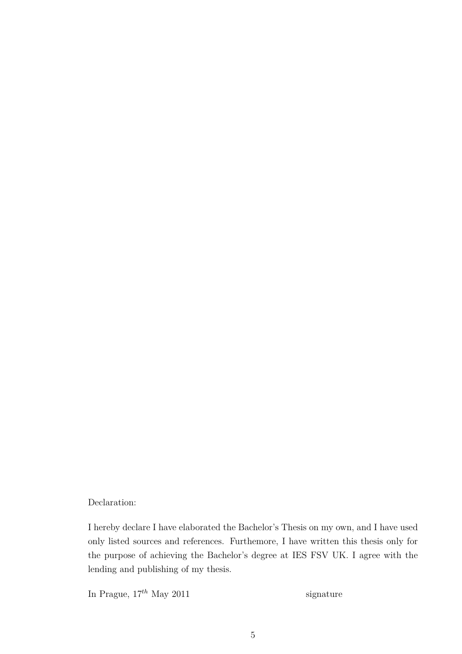#### Declaration:

I hereby declare I have elaborated the Bachelor's Thesis on my own, and I have used only listed sources and references. Furthemore, I have written this thesis only for the purpose of achieving the Bachelor's degree at IES FSV UK. I agree with the lending and publishing of my thesis.

In Prague,  $17^{th}$  May 2011 signature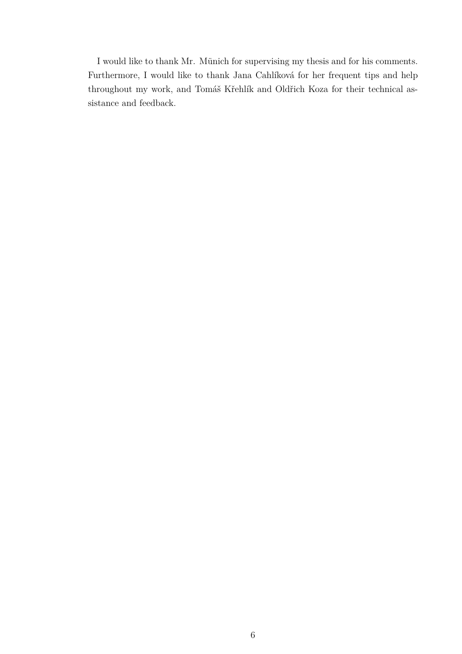I would like to thank Mr. Münich for supervising my thesis and for his comments. Furthermore, I would like to thank Jana Cahlíková for her frequent tips and help throughout my work, and Tomáš Křehlík and Oldřich Koza for their technical assistance and feedback.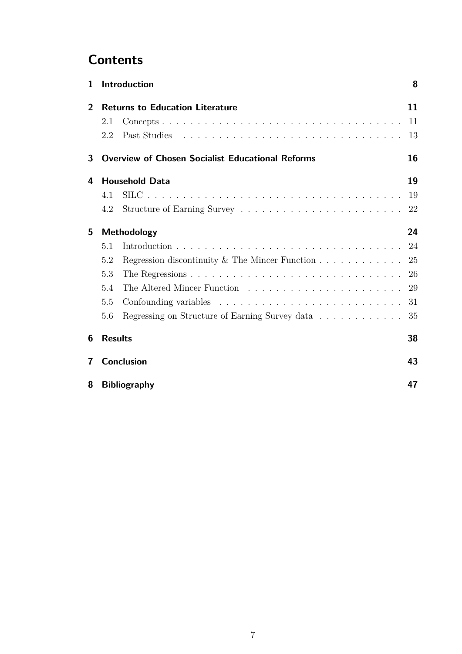# **Contents**

| Introduction<br>1       |                           |                                                                          |    |  |  |  |  |
|-------------------------|---------------------------|--------------------------------------------------------------------------|----|--|--|--|--|
| $\overline{2}$          |                           | <b>Returns to Education Literature</b>                                   | 11 |  |  |  |  |
|                         | 2.1                       |                                                                          | 11 |  |  |  |  |
|                         | 2.2                       | Past Studies                                                             | 13 |  |  |  |  |
| 3                       |                           | <b>Overview of Chosen Socialist Educational Reforms</b>                  | 16 |  |  |  |  |
| 4                       |                           | <b>Household Data</b>                                                    | 19 |  |  |  |  |
|                         | 4.1                       |                                                                          | 19 |  |  |  |  |
|                         | 4.2                       |                                                                          | 22 |  |  |  |  |
| 5                       | Methodology               |                                                                          |    |  |  |  |  |
|                         | 5.1                       |                                                                          | 24 |  |  |  |  |
|                         | 5.2                       | Regression discontinuity & The Mincer Function $\dots \dots \dots \dots$ | 25 |  |  |  |  |
|                         | 5.3                       |                                                                          | 26 |  |  |  |  |
|                         | 5.4                       |                                                                          | 29 |  |  |  |  |
|                         | 5.5                       |                                                                          | 31 |  |  |  |  |
|                         | 5.6                       | Regressing on Structure of Earning Survey data                           | 35 |  |  |  |  |
| 6                       | <b>Results</b>            |                                                                          | 38 |  |  |  |  |
| $\overline{\mathbf{r}}$ |                           | <b>Conclusion</b>                                                        | 43 |  |  |  |  |
| 8                       | <b>Bibliography</b><br>47 |                                                                          |    |  |  |  |  |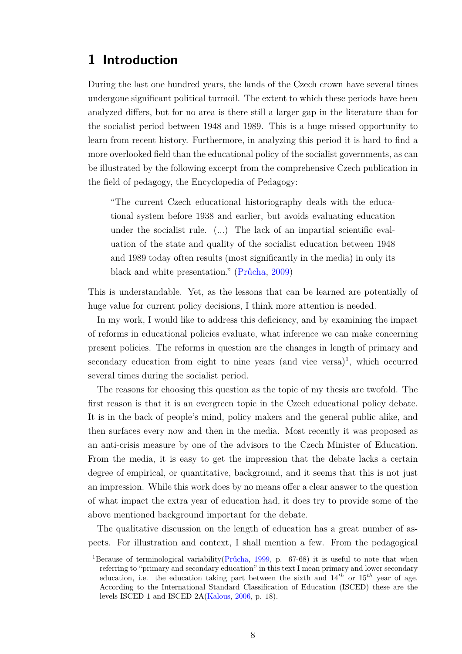## <span id="page-7-0"></span>**1 Introduction**

During the last one hundred years, the lands of the Czech crown have several times undergone significant political turmoil. The extent to which these periods have been analyzed differs, but for no area is there still a larger gap in the literature than for the socialist period between 1948 and 1989. This is a huge missed opportunity to learn from recent history. Furthermore, in analyzing this period it is hard to find a more overlooked field than the educational policy of the socialist governments, as can be illustrated by the following excerpt from the comprehensive Czech publication in the field of pedagogy, the Encyclopedia of Pedagogy:

"The current Czech educational historiography deals with the educational system before 1938 and earlier, but avoids evaluating education under the socialist rule. (...) The lack of an impartial scientific evaluation of the state and quality of the socialist education between 1948 and 1989 today often results (most significantly in the media) in only its black and white presentation." [\(Průcha,](#page-48-0) [2009\)](#page-48-0)

This is understandable. Yet, as the lessons that can be learned are potentially of huge value for current policy decisions, I think more attention is needed.

In my work, I would like to address this deficiency, and by examining the impact of reforms in educational policies evaluate, what inference we can make concerning present policies. The reforms in question are the changes in length of primary and secondary education from eight to nine years (and vice versa)<sup>[1](#page-7-1)</sup>, which occurred several times during the socialist period.

The reasons for choosing this question as the topic of my thesis are twofold. The first reason is that it is an evergreen topic in the Czech educational policy debate. It is in the back of people's mind, policy makers and the general public alike, and then surfaces every now and then in the media. Most recently it was proposed as an anti-crisis measure by one of the advisors to the Czech Minister of Education. From the media, it is easy to get the impression that the debate lacks a certain degree of empirical, or quantitative, background, and it seems that this is not just an impression. While this work does by no means offer a clear answer to the question of what impact the extra year of education had, it does try to provide some of the above mentioned background important for the debate.

The qualitative discussion on the length of education has a great number of aspects. For illustration and context, I shall mention a few. From the pedagogical

<span id="page-7-1"></span><sup>&</sup>lt;sup>1</sup>Because of terminological variability( $Pridcha$ , [1999,](#page-47-0) p. 67-68) it is useful to note that when referring to "primary and secondary education" in this text I mean primary and lower secondary education, i.e. the education taking part between the sixth and 14*th* or 15*th* year of age. According to the International Standard Classification of Education (ISCED) these are the levels ISCED 1 and ISCED 2A[\(Kalous,](#page-47-1) [2006,](#page-47-1) p. 18).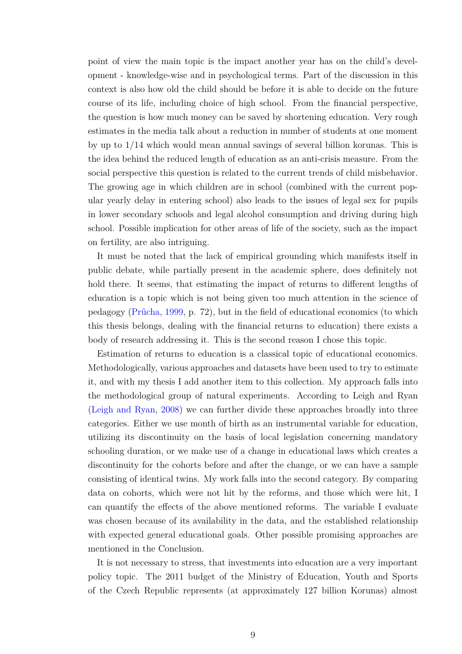point of view the main topic is the impact another year has on the child's development - knowledge-wise and in psychological terms. Part of the discussion in this context is also how old the child should be before it is able to decide on the future course of its life, including choice of high school. From the financial perspective, the question is how much money can be saved by shortening education. Very rough estimates in the media talk about a reduction in number of students at one moment by up to 1/14 which would mean annual savings of several billion korunas. This is the idea behind the reduced length of education as an anti-crisis measure. From the social perspective this question is related to the current trends of child misbehavior. The growing age in which children are in school (combined with the current popular yearly delay in entering school) also leads to the issues of legal sex for pupils in lower secondary schools and legal alcohol consumption and driving during high school. Possible implication for other areas of life of the society, such as the impact on fertility, are also intriguing.

It must be noted that the lack of empirical grounding which manifests itself in public debate, while partially present in the academic sphere, does definitely not hold there. It seems, that estimating the impact of returns to different lengths of education is a topic which is not being given too much attention in the science of pedagogy [\(Průcha,](#page-47-0) [1999,](#page-47-0) p. 72), but in the field of educational economics (to which this thesis belongs, dealing with the financial returns to education) there exists a body of research addressing it. This is the second reason I chose this topic.

Estimation of returns to education is a classical topic of educational economics. Methodologically, various approaches and datasets have been used to try to estimate it, and with my thesis I add another item to this collection. My approach falls into the methodological group of natural experiments. According to Leigh and Ryan [\(Leigh and Ryan,](#page-47-2) [2008\)](#page-47-2) we can further divide these approaches broadly into three categories. Either we use month of birth as an instrumental variable for education, utilizing its discontinuity on the basis of local legislation concerning mandatory schooling duration, or we make use of a change in educational laws which creates a discontinuity for the cohorts before and after the change, or we can have a sample consisting of identical twins. My work falls into the second category. By comparing data on cohorts, which were not hit by the reforms, and those which were hit, I can quantify the effects of the above mentioned reforms. The variable I evaluate was chosen because of its availability in the data, and the established relationship with expected general educational goals. Other possible promising approaches are mentioned in the [Conclusion.](#page-42-0)

It is not necessary to stress, that investments into education are a very important policy topic. The 2011 budget of the Ministry of Education, Youth and Sports of the Czech Republic represents (at approximately 127 billion Korunas) almost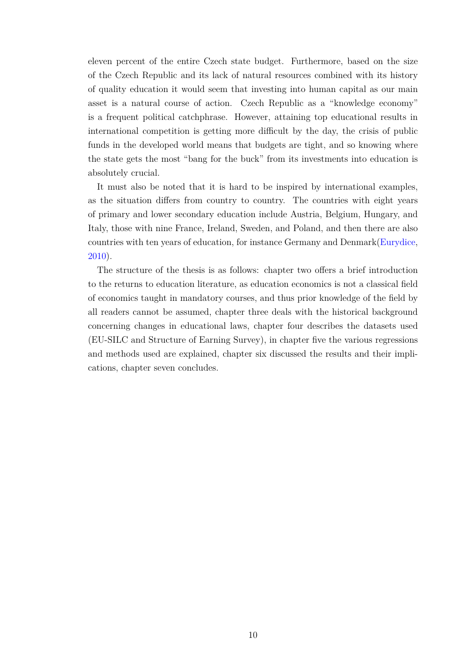eleven percent of the entire Czech state budget. Furthermore, based on the size of the Czech Republic and its lack of natural resources combined with its history of quality education it would seem that investing into human capital as our main asset is a natural course of action. Czech Republic as a "knowledge economy" is a frequent political catchphrase. However, attaining top educational results in international competition is getting more difficult by the day, the crisis of public funds in the developed world means that budgets are tight, and so knowing where the state gets the most "bang for the buck" from its investments into education is absolutely crucial.

It must also be noted that it is hard to be inspired by international examples, as the situation differs from country to country. The countries with eight years of primary and lower secondary education include Austria, Belgium, Hungary, and Italy, those with nine France, Ireland, Sweden, and Poland, and then there are also countries with ten years of education, for instance Germany and Denmark[\(Eurydice,](#page-46-1) [2010\)](#page-46-1).

The structure of the thesis is as follows: chapter two offers a brief introduction to the returns to education literature, as education economics is not a classical field of economics taught in mandatory courses, and thus prior knowledge of the field by all readers cannot be assumed, chapter three deals with the historical background concerning changes in educational laws, chapter four describes the datasets used (EU-SILC and Structure of Earning Survey), in chapter five the various regressions and methods used are explained, chapter six discussed the results and their implications, chapter seven concludes.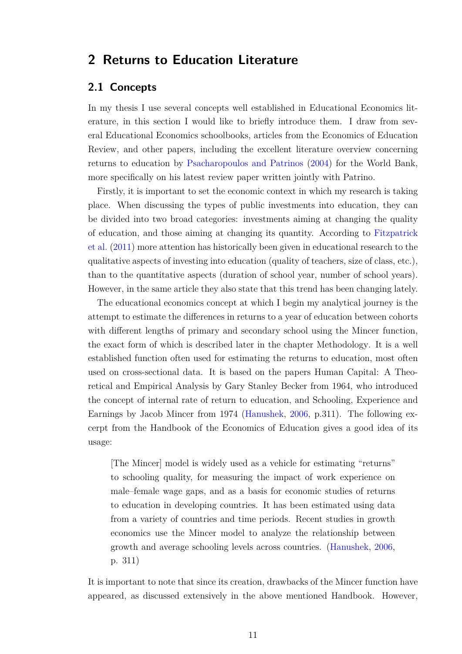### <span id="page-10-0"></span>**2 Returns to Education Literature**

### <span id="page-10-1"></span>**2.1 Concepts**

In my thesis I use several concepts well established in Educational Economics literature, in this section I would like to briefly introduce them. I draw from several Educational Economics schoolbooks, articles from the Economics of Education Review, and other papers, including the excellent literature overview concerning returns to education by [Psacharopoulos and Patrinos](#page-48-1) [\(2004\)](#page-48-1) for the World Bank, more specifically on his latest review paper written jointly with Patrino.

Firstly, it is important to set the economic context in which my research is taking place. When discussing the types of public investments into education, they can be divided into two broad categories: investments aiming at changing the quality of education, and those aiming at changing its quantity. According to [Fitzpatrick](#page-46-2) [et al.](#page-46-2) [\(2011\)](#page-46-2) more attention has historically been given in educational research to the qualitative aspects of investing into education (quality of teachers, size of class, etc.), than to the quantitative aspects (duration of school year, number of school years). However, in the same article they also state that this trend has been changing lately.

The educational economics concept at which I begin my analytical journey is the attempt to estimate the differences in returns to a year of education between cohorts with different lengths of primary and secondary school using the Mincer function, the exact form of which is described later in the chapter [Methodology.](#page-23-0) It is a well established function often used for estimating the returns to education, most often used on cross-sectional data. It is based on the papers Human Capital: A Theoretical and Empirical Analysis by Gary Stanley Becker from 1964, who introduced the concept of internal rate of return to education, and Schooling, Experience and Earnings by Jacob Mincer from 1974 [\(Hanushek,](#page-46-3) [2006,](#page-46-3) p.311). The following excerpt from the Handbook of the Economics of Education gives a good idea of its usage:

[The Mincer] model is widely used as a vehicle for estimating "returns" to schooling quality, for measuring the impact of work experience on male–female wage gaps, and as a basis for economic studies of returns to education in developing countries. It has been estimated using data from a variety of countries and time periods. Recent studies in growth economics use the Mincer model to analyze the relationship between growth and average schooling levels across countries. [\(Hanushek,](#page-46-3) [2006,](#page-46-3) p. 311)

It is important to note that since its creation, drawbacks of the Mincer function have appeared, as discussed extensively in the above mentioned Handbook. However,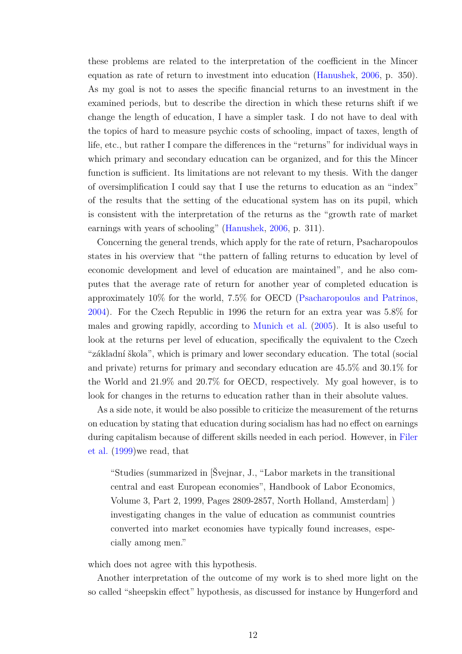these problems are related to the interpretation of the coefficient in the Mincer equation as rate of return to investment into education [\(Hanushek,](#page-46-3) [2006,](#page-46-3) p. 350). As my goal is not to asses the specific financial returns to an investment in the examined periods, but to describe the direction in which these returns shift if we change the length of education, I have a simpler task. I do not have to deal with the topics of hard to measure psychic costs of schooling, impact of taxes, length of life, etc., but rather I compare the differences in the "returns" for individual ways in which primary and secondary education can be organized, and for this the Mincer function is sufficient. Its limitations are not relevant to my thesis. With the danger of oversimplification I could say that I use the returns to education as an "index" of the results that the setting of the educational system has on its pupil, which is consistent with the interpretation of the returns as the "growth rate of market earnings with years of schooling" [\(Hanushek,](#page-46-3) [2006,](#page-46-3) p. 311).

Concerning the general trends, which apply for the rate of return, Psacharopoulos states in his overview that "the pattern of falling returns to education by level of economic development and level of education are maintained"*,* and he also computes that the average rate of return for another year of completed education is approximately 10% for the world, 7.5% for OECD [\(Psacharopoulos and Patrinos,](#page-48-1) [2004\)](#page-48-1). For the Czech Republic in 1996 the return for an extra year was 5.8% for males and growing rapidly, according to [Munich et al.](#page-47-3) [\(2005\)](#page-47-3). It is also useful to look at the returns per level of education, specifically the equivalent to the Czech "základní škola", which is primary and lower secondary education. The total (social and private) returns for primary and secondary education are 45.5% and 30.1% for the World and 21.9% and 20.7% for OECD, respectively. My goal however, is to look for changes in the returns to education rather than in their absolute values.

As a side note, it would be also possible to criticize the measurement of the returns on education by stating that education during socialism has had no effect on earnings during capitalism because of different skills needed in each period. However, in [Filer](#page-46-4) [et al.](#page-46-4) [\(1999\)](#page-46-4)we read, that

"Studies (summarized in [Švejnar, J., "Labor markets in the transitional central and east European economies", Handbook of Labor Economics, Volume 3, Part 2, 1999, Pages 2809-2857, North Holland, Amsterdam] ) investigating changes in the value of education as communist countries converted into market economies have typically found increases, especially among men."

which does not agree with this hypothesis.

Another interpretation of the outcome of my work is to shed more light on the so called "sheepskin effect" hypothesis, as discussed for instance by Hungerford and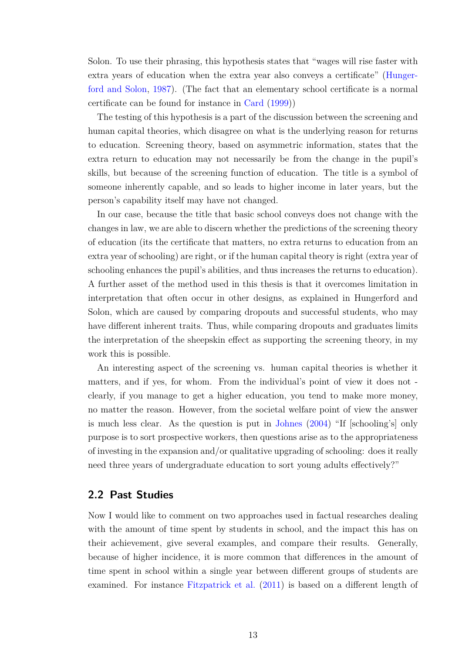Solon. To use their phrasing, this hypothesis states that "wages will rise faster with extra years of education when the extra year also conveys a certificate" [\(Hunger](#page-47-4)[ford and Solon,](#page-47-4) [1987\)](#page-47-4). (The fact that an elementary school certificate is a normal certificate can be found for instance in [Card](#page-46-5) [\(1999\)](#page-46-5))

The testing of this hypothesis is a part of the discussion between the screening and human capital theories, which disagree on what is the underlying reason for returns to education. Screening theory, based on asymmetric information, states that the extra return to education may not necessarily be from the change in the pupil's skills, but because of the screening function of education. The title is a symbol of someone inherently capable, and so leads to higher income in later years, but the person's capability itself may have not changed.

In our case, because the title that basic school conveys does not change with the changes in law, we are able to discern whether the predictions of the screening theory of education (its the certificate that matters, no extra returns to education from an extra year of schooling) are right, or if the human capital theory is right (extra year of schooling enhances the pupil's abilities, and thus increases the returns to education). A further asset of the method used in this thesis is that it overcomes limitation in interpretation that often occur in other designs, as explained in Hungerford and Solon, which are caused by comparing dropouts and successful students, who may have different inherent traits. Thus, while comparing dropouts and graduates limits the interpretation of the sheepskin effect as supporting the screening theory, in my work this is possible.

An interesting aspect of the screening vs. human capital theories is whether it matters, and if yes, for whom. From the individual's point of view it does not clearly, if you manage to get a higher education, you tend to make more money, no matter the reason. However, from the societal welfare point of view the answer is much less clear. As the question is put in [Johnes](#page-47-5) [\(2004\)](#page-47-5) "If [schooling's] only purpose is to sort prospective workers, then questions arise as to the appropriateness of investing in the expansion and/or qualitative upgrading of schooling: does it really need three years of undergraduate education to sort young adults effectively?"

### <span id="page-12-0"></span>**2.2 Past Studies**

Now I would like to comment on two approaches used in factual researches dealing with the amount of time spent by students in school, and the impact this has on their achievement, give several examples, and compare their results. Generally, because of higher incidence, it is more common that differences in the amount of time spent in school within a single year between different groups of students are examined. For instance [Fitzpatrick et al.](#page-46-2) [\(2011\)](#page-46-2) is based on a different length of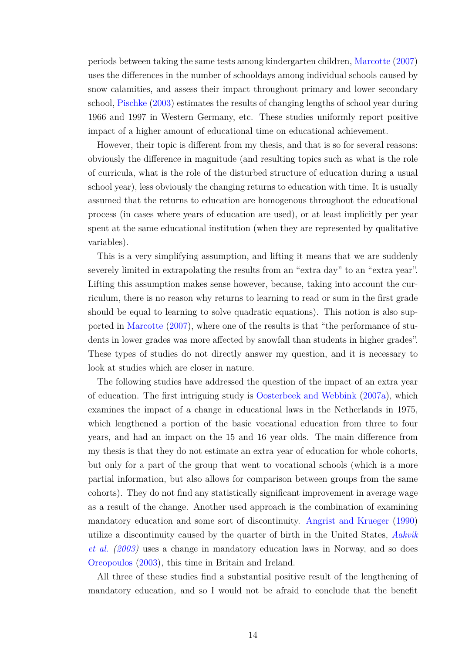periods between taking the same tests among kindergarten children, [Marcotte](#page-47-6) [\(2007\)](#page-47-6) uses the differences in the number of schooldays among individual schools caused by snow calamities, and assess their impact throughout primary and lower secondary school, [Pischke](#page-47-7) [\(2003\)](#page-47-7) estimates the results of changing lengths of school year during 1966 and 1997 in Western Germany, etc. These studies uniformly report positive impact of a higher amount of educational time on educational achievement.

However, their topic is different from my thesis, and that is so for several reasons: obviously the difference in magnitude (and resulting topics such as what is the role of curricula, what is the role of the disturbed structure of education during a usual school year), less obviously the changing returns to education with time. It is usually assumed that the returns to education are homogenous throughout the educational process (in cases where years of education are used), or at least implicitly per year spent at the same educational institution (when they are represented by qualitative variables).

This is a very simplifying assumption, and lifting it means that we are suddenly severely limited in extrapolating the results from an "extra day" to an "extra year". Lifting this assumption makes sense however, because, taking into account the curriculum, there is no reason why returns to learning to read or sum in the first grade should be equal to learning to solve quadratic equations). This notion is also supported in [Marcotte](#page-47-6) [\(2007\)](#page-47-6), where one of the results is that "the performance of students in lower grades was more affected by snowfall than students in higher grades". These types of studies do not directly answer my question, and it is necessary to look at studies which are closer in nature.

The following studies have addressed the question of the impact of an extra year of education. The first intriguing study is [Oosterbeek and Webbink](#page-47-8) [\(2007a\)](#page-47-8), which examines the impact of a change in educational laws in the Netherlands in 1975, which lengthened a portion of the basic vocational education from three to four years, and had an impact on the 15 and 16 year olds. The main difference from my thesis is that they do not estimate an extra year of education for whole cohorts, but only for a part of the group that went to vocational schools (which is a more partial information, but also allows for comparison between groups from the same cohorts). They do not find any statistically significant improvement in average wage as a result of the change. Another used approach is the combination of examining mandatory education and some sort of discontinuity. [Angrist and Krueger](#page-46-6) [\(1990\)](#page-46-6) utilize a discontinuity caused by the quarter of birth in the United States, *[Aakvik](#page-46-7) [et al.](#page-46-7) [\(2003\)](#page-46-7)* uses a change in mandatory education laws in Norway, and so does [Oreopoulos](#page-47-9) [\(2003\)](#page-47-9)*,* this time in Britain and Ireland.

All three of these studies find a substantial positive result of the lengthening of mandatory education*,* and so I would not be afraid to conclude that the benefit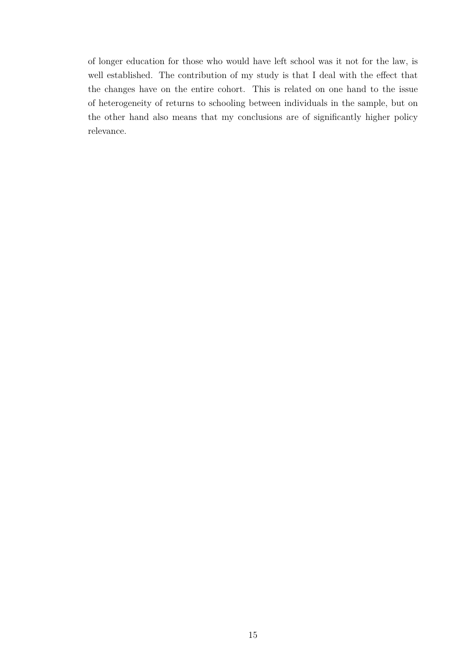of longer education for those who would have left school was it not for the law, is well established. The contribution of my study is that I deal with the effect that the changes have on the entire cohort. This is related on one hand to the issue of heterogeneity of returns to schooling between individuals in the sample, but on the other hand also means that my conclusions are of significantly higher policy relevance.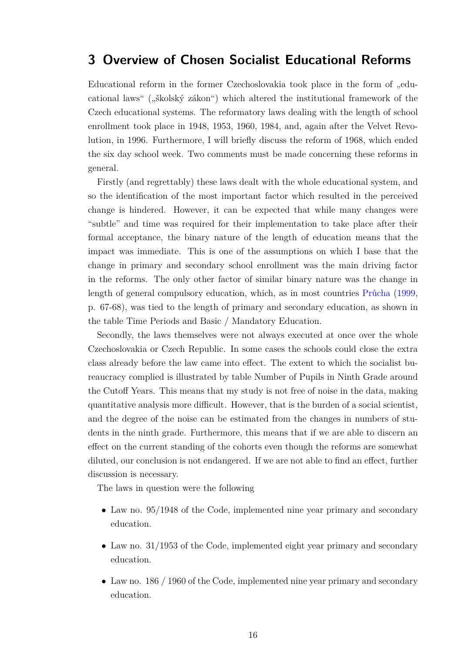### <span id="page-15-0"></span>**3 Overview of Chosen Socialist Educational Reforms**

Educational reform in the former Czechoslovakia took place in the form of "educational laws" ("školský zákon") which altered the institutional framework of the Czech educational systems. The reformatory laws dealing with the length of school enrollment took place in 1948, 1953, 1960, 1984, and, again after the Velvet Revolution, in 1996. Furthermore, I will briefly discuss the reform of 1968, which ended the six day school week. Two comments must be made concerning these reforms in general.

Firstly (and regrettably) these laws dealt with the whole educational system, and so the identification of the most important factor which resulted in the perceived change is hindered. However, it can be expected that while many changes were "subtle" and time was required for their implementation to take place after their formal acceptance, the binary nature of the length of education means that the impact was immediate. This is one of the assumptions on which I base that the change in primary and secondary school enrollment was the main driving factor in the reforms. The only other factor of similar binary nature was the change in length of general compulsory education, which, as in most countries [Průcha](#page-47-0) [\(1999,](#page-47-0) p. 67-68), was tied to the length of primary and secondary education, as shown in the table [Time Periods and Basic / Mandatory Education.](#page-16-0)

Secondly, the laws themselves were not always executed at once over the whole Czechoslovakia or Czech Republic. In some cases the schools could close the extra class already before the law came into effect. The extent to which the socialist bureaucracy complied is illustrated by table [Number of Pupils in Ninth Grade around](#page-17-0) [the Cutoff Years.](#page-17-0) This means that my study is not free of noise in the data, making quantitative analysis more difficult*.* However, that is the burden of a social scientist, and the degree of the noise can be estimated from the changes in numbers of students in the ninth grade. Furthermore, this means that if we are able to discern an effect on the current standing of the cohorts even though the reforms are somewhat diluted, our conclusion is not endangered. If we are not able to find an effect, further discussion is necessary.

The laws in question were the following

- Law no. 95/1948 of the Code, implemented nine year primary and secondary education.
- Law no. 31/1953 of the Code, implemented eight year primary and secondary education.
- Law no. 186 / 1960 of the Code, implemented nine year primary and secondary education.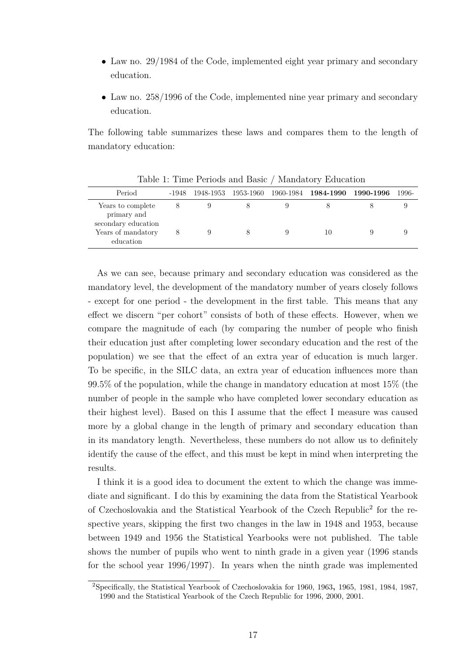- Law no. 29/1984 of the Code, implemented eight year primary and secondary education.
- Law no. 258/1996 of the Code, implemented nine year primary and secondary education.

The following table summarizes these laws and compares them to the length of mandatory education:

| Period                                                                                     | -1948 |  | 1948-1953 1953-1960 1960-1984 1 <b>984-1990</b> | 1990-1996 | 1996- |
|--------------------------------------------------------------------------------------------|-------|--|-------------------------------------------------|-----------|-------|
| Years to complete<br>primary and<br>secondary education<br>Years of mandatory<br>education | 8     |  | 10                                              |           |       |
|                                                                                            |       |  |                                                 |           |       |

<span id="page-16-0"></span>Table 1: Time Periods and Basic / Mandatory Education

As we can see, because primary and secondary education was considered as the mandatory level, the development of the mandatory number of years closely follows - except for one period - the development in the first table. This means that any effect we discern "per cohort" consists of both of these effects. However, when we compare the magnitude of each (by comparing the number of people who finish their education just after completing lower secondary education and the rest of the population) we see that the effect of an extra year of education is much larger. To be specific, in the SILC data, an extra year of education influences more than 99.5% of the population, while the change in mandatory education at most 15% (the number of people in the sample who have completed lower secondary education as their highest level). Based on this I assume that the effect I measure was caused more by a global change in the length of primary and secondary education than in its mandatory length. Nevertheless, these numbers do not allow us to definitely identify the cause of the effect, and this must be kept in mind when interpreting the results.

I think it is a good idea to document the extent to which the change was immediate and significant. I do this by examining the data from the Statistical Yearbook of Czechoslovakia and the Statistical Yearbook of the Czech Republic<sup>[2](#page-16-1)</sup> for the respective years, skipping the first two changes in the law in 1948 and 1953, because between 1949 and 1956 the Statistical Yearbooks were not published. The table shows the number of pupils who went to ninth grade in a given year (1996 stands for the school year 1996/1997). In years when the ninth grade was implemented

<span id="page-16-1"></span><sup>2</sup>Specifically, the Statistical Yearbook of Czechoslovakia for 1960, 1963**,** 1965, 1981, 1984, 1987, 1990 and the Statistical Yearbook of the Czech Republic for 1996, 2000, 2001.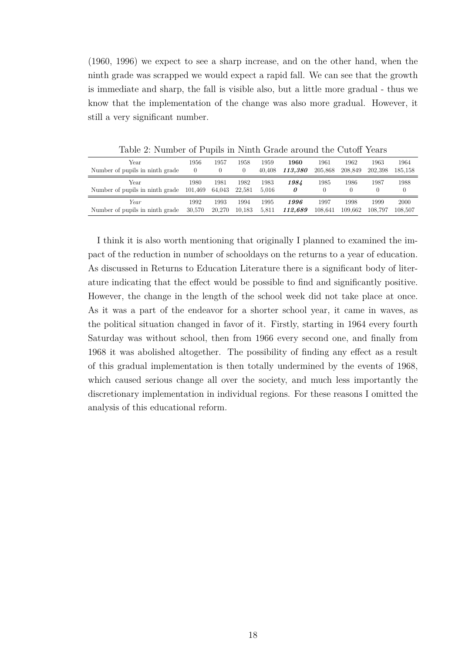(1960, 1996) we expect to see a sharp increase, and on the other hand, when the ninth grade was scrapped we would expect a rapid fall. We can see that the growth is immediate and sharp, the fall is visible also, but a little more gradual - thus we know that the implementation of the change was also more gradual. However, it still a very significant number.

| Year                            | 1956     | 1957   | 1958     | 1959   | 1960    | 1961             | 1962     | 1963    | 1964     |
|---------------------------------|----------|--------|----------|--------|---------|------------------|----------|---------|----------|
| Number of pupils in ninth grade | $\theta$ |        | $\theta$ | 40.408 | 113.380 | 205.868          | 208.849  | 202.398 | 185.158  |
| Year                            | 1980     | 1981   | 1982     | 1983   | 1984    | 1985             | 1986     | 1987    | 1988     |
| Number of pupils in ninth grade | 101,469  | 64,043 | 22.581   | 5.016  | 0       | $\left( \right)$ | $\theta$ |         | $^{(1)}$ |
| Year                            | 1992     | 1993   | 1994     | 1995   | 1996    | 1997             | 1998     | 1999    | 2000     |
| Number of pupils in ninth grade | 30,570   | 20.270 | 10.183   | 5.811  | 112,689 | 108.641          | 109.662  | 108.797 | 108.507  |

<span id="page-17-0"></span>Table 2: Number of Pupils in Ninth Grade around the Cutoff Years

I think it is also worth mentioning that originally I planned to examined the impact of the reduction in number of schooldays on the returns to a year of education. As discussed in [Returns to Education Literature](#page-10-0) there is a significant body of literature indicating that the effect would be possible to find and significantly positive. However, the change in the length of the school week did not take place at once. As it was a part of the endeavor for a shorter school year, it came in waves, as the political situation changed in favor of it. Firstly, starting in 1964 every fourth Saturday was without school, then from 1966 every second one, and finally from 1968 it was abolished altogether. The possibility of finding any effect as a result of this gradual implementation is then totally undermined by the events of 1968, which caused serious change all over the society, and much less importantly the discretionary implementation in individual regions. For these reasons I omitted the analysis of this educational reform.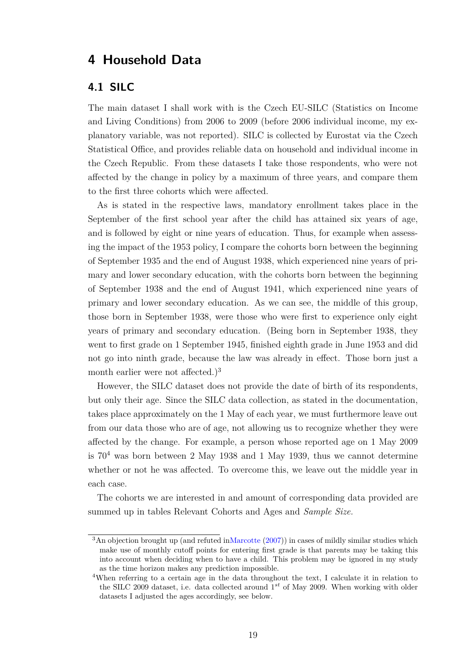## <span id="page-18-0"></span>**4 Household Data**

### <span id="page-18-1"></span>**4.1 SILC**

The main dataset I shall work with is the Czech EU-SILC (Statistics on Income and Living Conditions) from 2006 to 2009 (before 2006 individual income, my explanatory variable, was not reported). SILC is collected by Eurostat via the Czech Statistical Office, and provides reliable data on household and individual income in the Czech Republic. From these datasets I take those respondents, who were not affected by the change in policy by a maximum of three years, and compare them to the first three cohorts which were affected.

As is stated in the respective laws, mandatory enrollment takes place in the September of the first school year after the child has attained six years of age, and is followed by eight or nine years of education. Thus, for example when assessing the impact of the 1953 policy, I compare the cohorts born between the beginning of September 1935 and the end of August 1938, which experienced nine years of primary and lower secondary education, with the cohorts born between the beginning of September 1938 and the end of August 1941, which experienced nine years of primary and lower secondary education. As we can see, the middle of this group, those born in September 1938, were those who were first to experience only eight years of primary and secondary education. (Being born in September 1938, they went to first grade on 1 September 1945, finished eighth grade in June 1953 and did not go into ninth grade, because the law was already in effect. Those born just a month earlier were not affected.)<sup>[3](#page-18-2)</sup>

However, the SILC dataset does not provide the date of birth of its respondents, but only their age. Since the SILC data collection, as stated in the documentation, takes place approximately on the 1 May of each year, we must furthermore leave out from our data those who are of age, not allowing us to recognize whether they were affected by the change. For example, a person whose reported age on 1 May 2009 is  $70<sup>4</sup>$  $70<sup>4</sup>$  $70<sup>4</sup>$  was born between 2 May 1938 and 1 May 1939, thus we cannot determine whether or not he was affected. To overcome this, we leave out the middle year in each case.

The cohorts we are interested in and amount of corresponding data provided are summed up in tables [Relevant Cohorts and Ages](#page-19-0) and *[Sample Size.](#page-19-1)*

<span id="page-18-2"></span><sup>&</sup>lt;sup>3</sup>An objection brought up (and refuted i[nMarcotte](#page-47-6)  $(2007)$ ) in cases of mildly similar studies which make use of monthly cutoff points for entering first grade is that parents may be taking this into account when deciding when to have a child. This problem may be ignored in my study as the time horizon makes any prediction impossible.

<span id="page-18-3"></span><sup>&</sup>lt;sup>4</sup>When referring to a certain age in the data throughout the text, I calculate it in relation to the SILC 2009 dataset, i.e. data collected around 1<sup>st</sup> of May 2009. When working with older datasets I adjusted the ages accordingly, see below.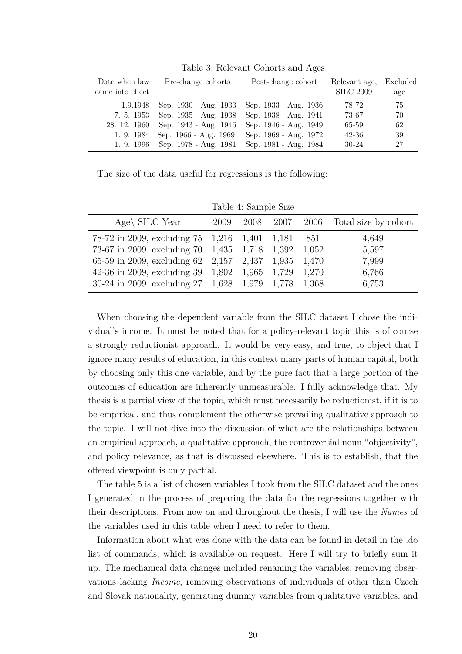| Date when law<br>came into effect      | Pre-change cohorts                                                                                                                              | Post-change cohort                                                                                                        | Relevant age,<br><b>SILC 2009</b>               | Excluded<br>age              |
|----------------------------------------|-------------------------------------------------------------------------------------------------------------------------------------------------|---------------------------------------------------------------------------------------------------------------------------|-------------------------------------------------|------------------------------|
| 1.9.1948<br>7. 5. 1953<br>28. 12. 1960 | Sep. 1930 - Aug. 1933<br>Sep. 1935 - Aug. 1938<br>Sep. 1943 - Aug. 1946<br>1. 9. 1984 Sep. 1966 - Aug. 1969<br>1. 9. 1996 Sep. 1978 - Aug. 1981 | Sep. 1933 - Aug. 1936<br>Sep. 1938 - Aug. 1941<br>Sep. 1946 - Aug. 1949<br>Sep. 1969 - Aug. 1972<br>Sep. 1981 - Aug. 1984 | 78-72<br>73-67<br>65-59<br>$42 - 36$<br>$30-24$ | 75<br>70<br>-62<br>-39<br>27 |

<span id="page-19-0"></span>Table 3: Relevant Cohorts and Ages

The size of the data useful for regressions is the following:

<span id="page-19-1"></span>Table 4: Sample Size

| Age\ SILC Year                                                                |  |       | 2009 2008 2007 2006 Total size by cohort |
|-------------------------------------------------------------------------------|--|-------|------------------------------------------|
| 78-72 in 2009, excluding 75 1,216 1,401 1,181                                 |  | - 851 | 4,649                                    |
| 73-67 in 2009, excluding $70$ 1,435 1,718 1,392 1,052                         |  |       | 5,597                                    |
| 65-59 in 2009, excluding 62 2,157 2,437 1,935 1,470                           |  |       | 7,999                                    |
| 42-36 in 2009, excluding $39 \quad 1,802 \quad 1,965 \quad 1,729 \quad 1,270$ |  |       | 6,766                                    |
| 30-24 in 2009, excluding $27 \quad 1,628 \quad 1,979 \quad 1,778 \quad 1,368$ |  |       | 6,753                                    |

When choosing the dependent variable from the SILC dataset I chose the individual's income. It must be noted that for a policy-relevant topic this is of course a strongly reductionist approach. It would be very easy, and true, to object that I ignore many results of education, in this context many parts of human capital, both by choosing only this one variable, and by the pure fact that a large portion of the outcomes of education are inherently unmeasurable. I fully acknowledge that. My thesis is a partial view of the topic, which must necessarily be reductionist, if it is to be empirical, and thus complement the otherwise prevailing qualitative approach to the topic. I will not dive into the discussion of what are the relationships between an empirical approach, a qualitative approach, the controversial noun "objectivity", and policy relevance, as that is discussed elsewhere. This is to establish, that the offered viewpoint is only partial.

The table [5](#page-20-0) is a list of chosen variables I took from the SILC dataset and the ones I generated in the process of preparing the data for the regressions together with their descriptions. From now on and throughout the thesis, I will use the *Names* of the variables used in this table when I need to refer to them.

Information about what was done with the data can be found in detail in the .do list of commands, which is available on request. Here I will try to briefly sum it up. The mechanical data changes included renaming the variables, removing observations lacking *Income*, removing observations of individuals of other than Czech and Slovak nationality, generating dummy variables from qualitative variables, and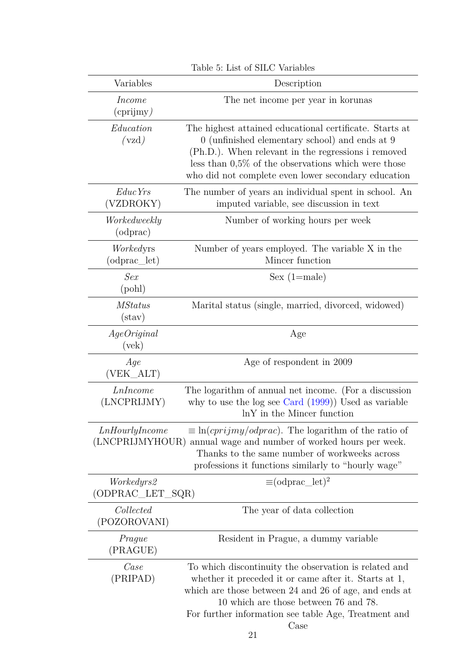| Variables                          | Description                                                                                                                                                                                                                                                                       |
|------------------------------------|-----------------------------------------------------------------------------------------------------------------------------------------------------------------------------------------------------------------------------------------------------------------------------------|
| <i>Income</i><br>$(c$ prijmy)      | The net income per year in korunas                                                                                                                                                                                                                                                |
| Education<br>(vzd)                 | The highest attained educational certificate. Starts at<br>0 (unfinished elementary school) and ends at 9<br>(Ph.D.). When relevant in the regressions i removed<br>less than $0.5\%$ of the observations which were those<br>who did not complete even lower secondary education |
| Educ Yrs<br>(VZDROKY)              | The number of years an individual spent in school. An<br>imputed variable, see discussion in text                                                                                                                                                                                 |
| Workedweekly<br>(odprac)           | Number of working hours per week                                                                                                                                                                                                                                                  |
| Workedyrs<br>$(odprac_{let})$      | Number of years employed. The variable X in the<br>Mincer function                                                                                                                                                                                                                |
| Sex<br>(pol)                       | $Sex (1 = male)$                                                                                                                                                                                                                                                                  |
| <i>MStatus</i><br>$(\text{stav})$  | Marital status (single, married, divorced, widowed)                                                                                                                                                                                                                               |
| A ge Original<br>$(\text{vek})$    | Age                                                                                                                                                                                                                                                                               |
| Age<br>(VEK_ALT)                   | Age of respondent in 2009                                                                                                                                                                                                                                                         |
| LnIncome<br>(LNCPRIJMY)            | The logarithm of annual net income. (For a discussion<br>why to use the log see Card $(1999)$ ) Used as variable<br>lnY in the Mincer function                                                                                                                                    |
| LnHourly Income<br>(LNCPRIJMYHOUR) | $\equiv \ln(c$ <i>prijmy/odprac</i> ). The logarithm of the ratio of<br>annual wage and number of worked hours per week.<br>Thanks to the same number of workweeks across<br>professions it functions similarly to "hourly wage"                                                  |
| Workedyrs2<br>(ODPRAC_LET_SQR)     | $\equiv$ (odprac_let) <sup>2</sup>                                                                                                                                                                                                                                                |
| Collected<br>(POZOROVANI)          | The year of data collection                                                                                                                                                                                                                                                       |
| Prague<br>(PRAGUE)                 | Resident in Prague, a dummy variable                                                                                                                                                                                                                                              |
| Case<br>(PRIPAD)                   | To which discontinuity the observation is related and<br>whether it preceded it or came after it. Starts at 1,<br>which are those between 24 and 26 of age, and ends at<br>10 which are those between 76 and 78.<br>For further information see table Age, Treatment and<br>Case  |

<span id="page-20-0"></span>Table 5: List of SILC Variables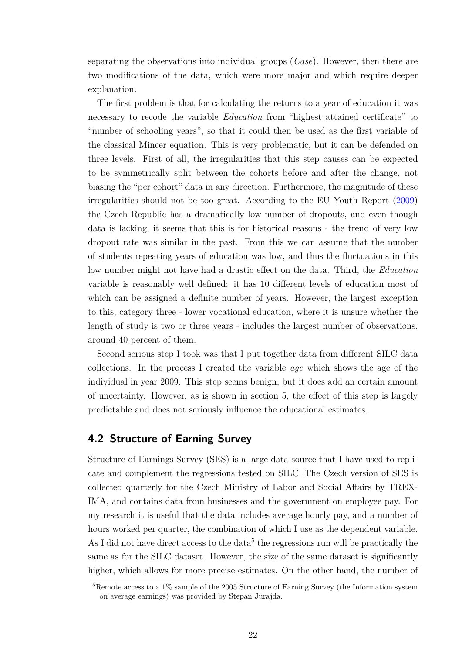separating the observations into individual groups (*Case*). However, then there are two modifications of the data, which were more major and which require deeper explanation.

The first problem is that for calculating the returns to a year of education it was necessary to recode the variable *Education* from "highest attained certificate" to "number of schooling years", so that it could then be used as the first variable of the classical Mincer equation. This is very problematic, but it can be defended on three levels. First of all, the irregularities that this step causes can be expected to be symmetrically split between the cohorts before and after the change, not biasing the "per cohort" data in any direction. Furthermore, the magnitude of these irregularities should not be too great. According to the EU Youth Report [\(2009\)](#page-46-8) the Czech Republic has a dramatically low number of dropouts, and even though data is lacking, it seems that this is for historical reasons - the trend of very low dropout rate was similar in the past. From this we can assume that the number of students repeating years of education was low, and thus the fluctuations in this low number might not have had a drastic effect on the data*.* Third, the *Education* variable is reasonably well defined: it has 10 different levels of education most of which can be assigned a definite number of years. However, the largest exception to this, category three - lower vocational education, where it is unsure whether the length of study is two or three years - includes the largest number of observations, around 40 percent of them.

Second serious step I took was that I put together data from different SILC data collections. In the process I created the variable *age* which shows the age of the individual in year 2009. This step seems benign, but it does add an certain amount of uncertainty. However, as is shown in section [5,](#page-23-0) the effect of this step is largely predictable and does not seriously influence the educational estimates.

### <span id="page-21-0"></span>**4.2 Structure of Earning Survey**

Structure of Earnings Survey (SES) is a large data source that I have used to replicate and complement the regressions tested on SILC. The Czech version of SES is collected quarterly for the Czech Ministry of Labor and Social Affairs by TREX-IMA, and contains data from businesses and the government on employee pay. For my research it is useful that the data includes average hourly pay, and a number of hours worked per quarter, the combination of which I use as the dependent variable. As I did not have direct access to the data<sup>[5](#page-21-1)</sup> the regressions run will be practically the same as for the SILC dataset. However, the size of the same dataset is significantly higher, which allows for more precise estimates. On the other hand, the number of

<span id="page-21-1"></span><sup>5</sup>Remote access to a 1% sample of the 2005 Structure of Earning Survey (the Information system on average earnings) was provided by Stepan Jurajda.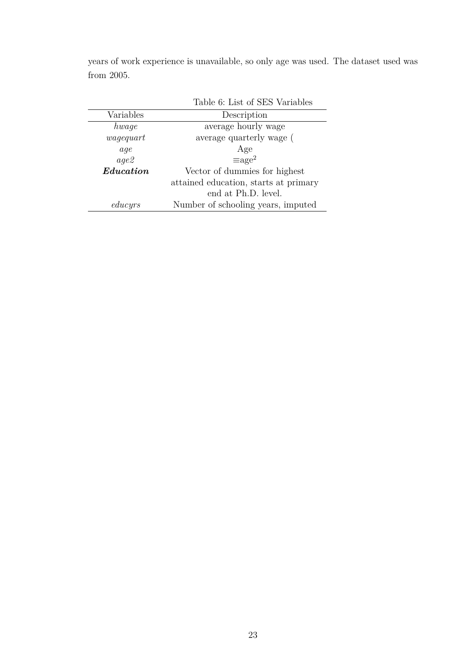<span id="page-22-0"></span>

|           | Table 6: List of SES Variables        |
|-----------|---------------------------------------|
| Variables | Description                           |
| hwaqe     | average hourly wage                   |
| wagequart | average quarterly wage (              |
| aqe       | Age                                   |
| aqe2      | $\equiv$ age <sup>2</sup>             |
| Education | Vector of dummies for highest         |
|           | attained education, starts at primary |
|           | end at Ph.D. level.                   |
| educyrs   | Number of schooling years, imputed    |

years of work experience is unavailable, so only age was used. The dataset used was from 2005.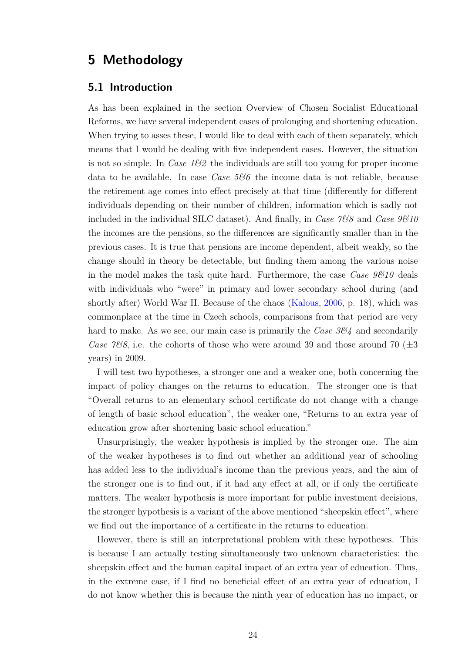## <span id="page-23-0"></span>**5 Methodology**

### <span id="page-23-1"></span>**5.1 Introduction**

As has been explained in the section [Overview of Chosen Socialist Educational](#page-15-0) [Reforms,](#page-15-0) we have several independent cases of prolonging and shortening education. When trying to asses these, I would like to deal with each of them separately, which means that I would be dealing with five independent cases. However, the situation is not so simple. In *Case 1&2* the individuals are still too young for proper income data to be available. In case *Case 5&6* the income data is not reliable, because the retirement age comes into effect precisely at that time (differently for different individuals depending on their number of children, information which is sadly not included in the individual SILC dataset). And finally, in *Case 7&8* and *Case 9&10* the incomes are the pensions, so the differences are significantly smaller than in the previous cases. It is true that pensions are income dependent, albeit weakly, so the change should in theory be detectable, but finding them among the various noise in the model makes the task quite hard. Furthermore, the case *Case 9&10* deals with individuals who "were" in primary and lower secondary school during (and shortly after) World War II. Because of the chaos [\(Kalous,](#page-47-1) [2006,](#page-47-1) p. 18), which was commonplace at the time in Czech schools, comparisons from that period are very hard to make. As we see, our main case is primarily the *Case 3&4* and secondarily *Case 7&8*, i.e. the cohorts of those who were around 39 and those around 70 ( $\pm 3$ ) years) in 2009.

I will test two hypotheses, a stronger one and a weaker one, both concerning the impact of policy changes on the returns to education. The stronger one is that "Overall returns to an elementary school certificate do not change with a change of length of basic school education", the weaker one, "Returns to an extra year of education grow after shortening basic school education."

Unsurprisingly, the weaker hypothesis is implied by the stronger one. The aim of the weaker hypotheses is to find out whether an additional year of schooling has added less to the individual's income than the previous years, and the aim of the stronger one is to find out, if it had any effect at all, or if only the certificate matters. The weaker hypothesis is more important for public investment decisions, the stronger hypothesis is a variant of the above mentioned "sheepskin effect", where we find out the importance of a certificate in the returns to education.

However, there is still an interpretational problem with these hypotheses. This is because I am actually testing simultaneously two unknown characteristics: the sheepskin effect and the human capital impact of an extra year of education. Thus, in the extreme case, if I find no beneficial effect of an extra year of education, I do not know whether this is because the ninth year of education has no impact, or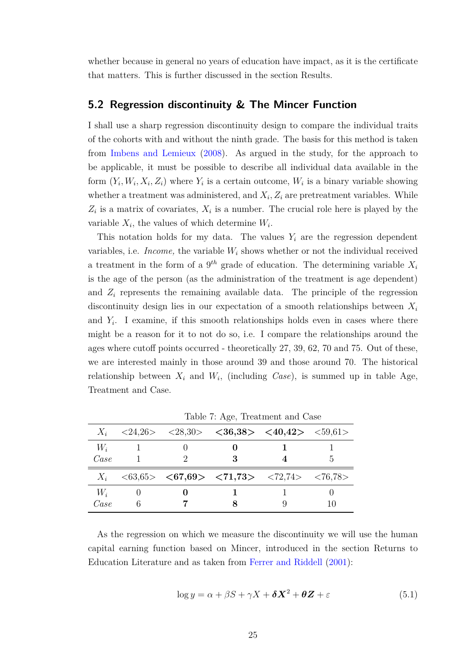whether because in general no years of education have impact, as it is the certificate that matters. This is further discussed in the section [Results.](#page-37-0)

#### <span id="page-24-0"></span>**5.2 Regression discontinuity & The Mincer Function**

I shall use a sharp regression discontinuity design to compare the individual traits of the cohorts with and without the ninth grade. The basis for this method is taken from [Imbens and Lemieux](#page-47-10) [\(2008\)](#page-47-10). As argued in the study, for the approach to be applicable, it must be possible to describe all individual data available in the form  $(Y_i, W_i, X_i, Z_i)$  where  $Y_i$  is a certain outcome,  $W_i$  is a binary variable showing whether a treatment was administered, and  $X_i$ ,  $Z_i$  are pretreatment variables. While  $Z_i$  is a matrix of covariates,  $X_i$  is a number. The crucial role here is played by the variable  $X_i$ , the values of which determine  $W_i$ .

This notation holds for my data. The values  $Y_i$  are the regression dependent variables, i.e. *Income*, the variable  $W_i$  shows whether or not the individual received a treatment in the form of a 9 *th* grade of education. The determining variable *X<sup>i</sup>* is the age of the person (as the administration of the treatment is age dependent) and  $Z_i$  represents the remaining available data. The principle of the regression discontinuity design lies in our expectation of a smooth relationships between *X<sup>i</sup>* and  $Y_i$ . I examine, if this smooth relationships holds even in cases where there might be a reason for it to not do so, i.e. I compare the relationships around the ages where cutoff points occurred - theoretically 27, 39, 62, 70 and 75. Out of these, we are interested mainly in those around 39 and those around 70. The historical relationship between  $X_i$  and  $W_i$ , (including *Case*), is summed up in table [Age,](#page-24-1) [Treatment and Case.](#page-24-1)

|               |   | $X_i$ <24,26> <28,30> <36,38> <40,42> <59,61> |    |
|---------------|---|-----------------------------------------------|----|
| $W_i$<br>Case |   | 3                                             | h, |
|               |   | $X_i$ <63,65> <67,69> <71,73> <72,74> <76,78> |    |
| $W_i$<br>Case | 6 |                                               |    |

<span id="page-24-1"></span>Table 7: Age, Treatment and Case

As the regression on which we measure the discontinuity we will use the human capital earning function based on Mincer, introduced in the section [Returns to](#page-10-0) [Education Literature](#page-10-0) and as taken from [Ferrer and Riddell](#page-46-9) [\(2001\)](#page-46-9):

<span id="page-24-2"></span>
$$
\log y = \alpha + \beta S + \gamma X + \delta X^2 + \theta Z + \varepsilon \tag{5.1}
$$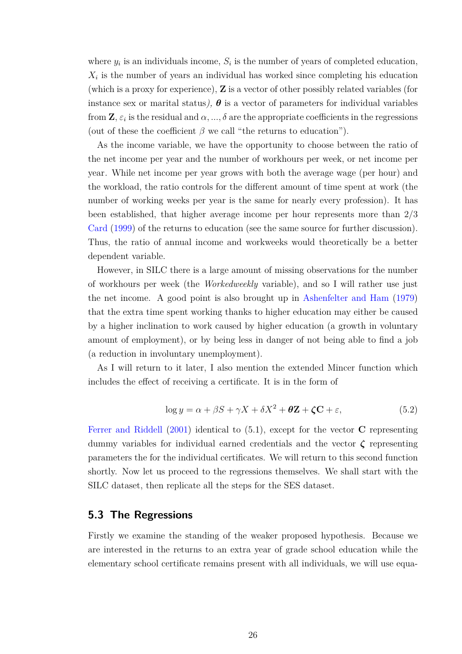where  $y_i$  is an individuals income,  $S_i$  is the number of years of completed education,  $X_i$  is the number of years an individual has worked since completing his education (which is a proxy for experience), **Z** is a vector of other possibly related variables (for instance sex or marital status),  $\theta$  is a vector of parameters for individual variables from  $\mathbf{Z}, \varepsilon_i$  is the residual and  $\alpha, ..., \delta$  are the appropriate coefficients in the regressions (out of these the coefficient  $\beta$  we call "the returns to education").

As the income variable, we have the opportunity to choose between the ratio of the net income per year and the number of workhours per week, or net income per year*.* While net income per year grows with both the average wage (per hour) and the workload, the ratio controls for the different amount of time spent at work (the number of working weeks per year is the same for nearly every profession). It has been established, that higher average income per hour represents more than 2/3 [Card](#page-46-5) [\(1999\)](#page-46-5) of the returns to education (see the same source for further discussion). Thus, the ratio of annual income and workweeks would theoretically be a better dependent variable.

However, in SILC there is a large amount of missing observations for the number of workhours per week (the *Workedweekly* variable), and so I will rather use just the net income. A good point is also brought up in [Ashenfelter and Ham](#page-46-10) [\(1979\)](#page-46-10) that the extra time spent working thanks to higher education may either be caused by a higher inclination to work caused by higher education (a growth in voluntary amount of employment), or by being less in danger of not being able to find a job (a reduction in involuntary unemployment).

As I will return to it later, I also mention the extended Mincer function which includes the effect of receiving a certificate. It is in the form of

<span id="page-25-1"></span>
$$
\log y = \alpha + \beta S + \gamma X + \delta X^2 + \theta Z + \zeta C + \varepsilon,\tag{5.2}
$$

[Ferrer and Riddell](#page-46-9) [\(2001\)](#page-46-9) identical to [\(5.1\)](#page-24-2), except for the vector **C** representing dummy variables for individual earned credentials and the vector *ζ* representing parameters the for the individual certificates. We will return to this second function shortly. Now let us proceed to the regressions themselves. We shall start with the SILC dataset, then replicate all the steps for the SES dataset.

#### <span id="page-25-0"></span>**5.3 The Regressions**

Firstly we examine the standing of the weaker proposed hypothesis. Because we are interested in the returns to an extra year of grade school education while the elementary school certificate remains present with all individuals, we will use equa-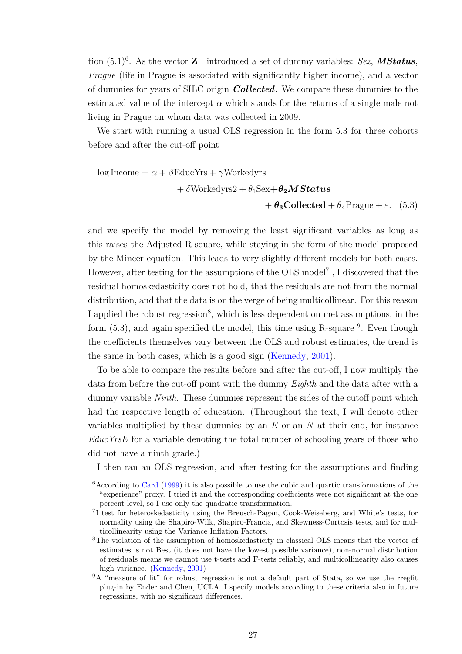tion [\(5.1\)](#page-24-2) [6](#page-26-0) . As the vector **Z** I introduced a set of dummy variables: *Sex*, *MStatus*, *Prague* (life in Prague is associated with significantly higher income), and a vector of dummies for years of SILC origin *Collected*. We compare these dummies to the estimated value of the intercept  $\alpha$  which stands for the returns of a single male not living in Prague on whom data was collected in 2009.

We start with running a usual OLS regression in the form [5.3](#page-26-1) for three cohorts before and after the cut-off point

<span id="page-26-1"></span>log Income = 
$$
\alpha + \beta
$$
EducYrs +  $\gamma$ Workedyrs  
+  $\delta$ Workedyrs2 +  $\theta_1$ Sex+ $\theta_2$ MStatus  
+  $\theta_3$ Collected +  $\theta_4$ Prague +  $\varepsilon$ . (5.3)

and we specify the model by removing the least significant variables as long as this raises the Adjusted R-square, while staying in the form of the model proposed by the Mincer equation. This leads to very slightly different models for both cases. However, after testing for the assumptions of the OLS model<sup>[7](#page-26-2)</sup>, I discovered that the residual homoskedasticity does not hold, that the residuals are not from the normal distribution, and that the data is on the verge of being multicollinear. For this reason I applied the robust regression<sup>[8](#page-26-3)</sup>, which is less dependent on met assumptions, in the form  $(5.3)$ , and again specified the model, this time using R-square  $9$ . Even though the coefficients themselves vary between the OLS and robust estimates, the trend is the same in both cases, which is a good sign [\(Kennedy,](#page-47-11) [2001\)](#page-47-11).

To be able to compare the results before and after the cut-off, I now multiply the data from before the cut-off point with the dummy *Eighth* and the data after with a dummy variable *Ninth*. These dummies represent the sides of the cutoff point which had the respective length of education. (Throughout the text, I will denote other variables multiplied by these dummies by an *E* or an *N* at their end, for instance *EducYrsE* for a variable denoting the total number of schooling years of those who did not have a ninth grade.)

I then ran an OLS regression, and after testing for the assumptions and finding

<span id="page-26-0"></span><sup>&</sup>lt;sup>6</sup> According to [Card](#page-46-5) [\(1999\)](#page-46-5) it is also possible to use the cubic and quartic transformations of the "experience" proxy. I tried it and the corresponding coefficients were not significant at the one percent level, so I use only the quadratic transformation.

<span id="page-26-2"></span><sup>&</sup>lt;sup>7</sup>I test for heteroskedasticity using the Breusch-Pagan, Cook-Weiseberg, and White's tests, for normality using the Shapiro-Wilk, Shapiro-Francia, and Skewness-Curtosis tests, and for multicollinearity using the Variance Inflation Factors.

<span id="page-26-3"></span><sup>&</sup>lt;sup>8</sup>The violation of the assumption of homoskedasticity in classical OLS means that the vector of estimates is not Best (it does not have the lowest possible variance), non-normal distribution of residuals means we cannot use t-tests and F-tests reliably, and multicollinearity also causes high variance. [\(Kennedy,](#page-47-11) [2001\)](#page-47-11)

<span id="page-26-4"></span><sup>&</sup>lt;sup>9</sup>A "measure of fit" for robust regression is not a default part of Stata, so we use the rregfit plug-in by Ender and Chen, UCLA. I specify models according to these criteria also in future regressions, with no significant differences.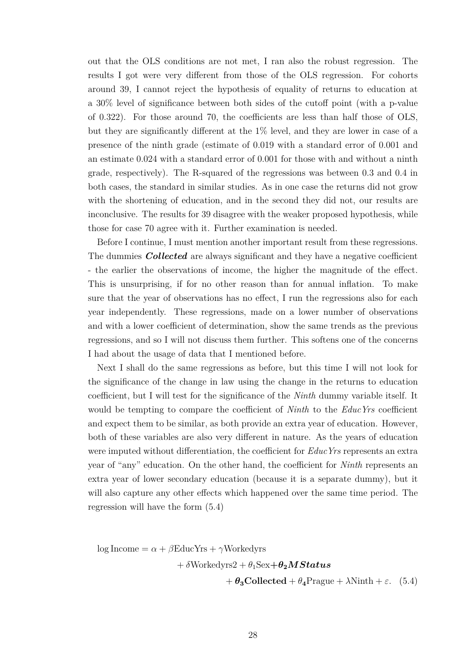out that the OLS conditions are not met, I ran also the robust regression. The results I got were very different from those of the OLS regression. For cohorts around 39, I cannot reject the hypothesis of equality of returns to education at a 30% level of significance between both sides of the cutoff point (with a p-value of 0.322). For those around 70, the coefficients are less than half those of OLS, but they are significantly different at the 1% level, and they are lower in case of a presence of the ninth grade (estimate of 0.019 with a standard error of 0.001 and an estimate 0.024 with a standard error of 0.001 for those with and without a ninth grade, respectively). The R-squared of the regressions was between 0.3 and 0.4 in both cases, the standard in similar studies. As in one case the returns did not grow with the shortening of education, and in the second they did not, our results are inconclusive. The results for 39 disagree with the weaker proposed hypothesis, while those for case 70 agree with it. Further examination is needed.

Before I continue, I must mention another important result from these regressions. The dummies *Collected* are always significant and they have a negative coefficient - the earlier the observations of income, the higher the magnitude of the effect. This is unsurprising, if for no other reason than for annual inflation. To make sure that the year of observations has no effect, I run the regressions also for each year independently. These regressions, made on a lower number of observations and with a lower coefficient of determination, show the same trends as the previous regressions, and so I will not discuss them further. This softens one of the concerns I had about the usage of data that I mentioned before.

Next I shall do the same regressions as before, but this time I will not look for the significance of the change in law using the change in the returns to education coefficient, but I will test for the significance of the *Ninth* dummy variable itself. It would be tempting to compare the coefficient of *Ninth* to the *EducYrs* coefficient and expect them to be similar, as both provide an extra year of education. However, both of these variables are also very different in nature. As the years of education were imputed without differentiation, the coefficient for *EducYrs* represents an extra year of "any" education. On the other hand, the coefficient for *Ninth* represents an extra year of lower secondary education (because it is a separate dummy), but it will also capture any other effects which happened over the same time period. The regression will have the form [\(5.4\)](#page-27-0)

log Income =  $\alpha + \beta$ EducYrs + *γ*Workedyrs

 $+ \delta$ Workedyrs2 +  $\theta_1$ Sex $+ \theta_2$ *MStatus* 

<span id="page-27-0"></span>+  $\theta_3$ **Collected** +  $\theta_4$ Prague +  $\lambda$ Ninth +  $\varepsilon$ . (5.4)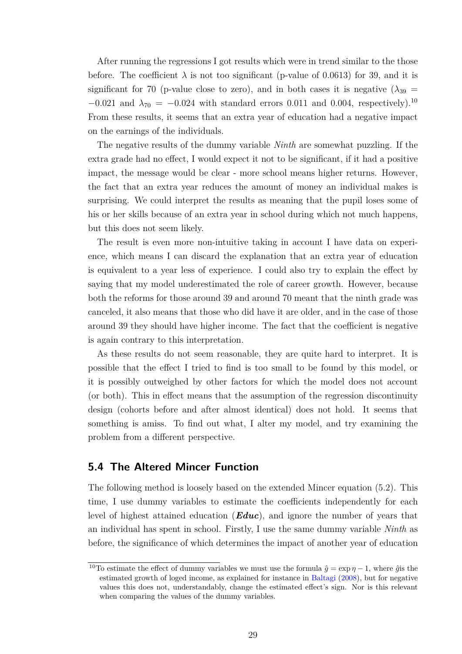After running the regressions I got results which were in trend similar to the those before. The coefficient  $\lambda$  is not too significant (p-value of 0.0613) for 39, and it is significant for 70 (p-value close to zero), and in both cases it is negative  $(\lambda_{39} =$  $-0.021$  and  $\lambda_{70} = -0.024$  with standard errors 0.011 and 0.004, respectively).<sup>[10](#page-28-1)</sup> From these results, it seems that an extra year of education had a negative impact on the earnings of the individuals.

The negative results of the dummy variable *Ninth* are somewhat puzzling. If the extra grade had no effect, I would expect it not to be significant, if it had a positive impact, the message would be clear - more school means higher returns. However, the fact that an extra year reduces the amount of money an individual makes is surprising. We could interpret the results as meaning that the pupil loses some of his or her skills because of an extra year in school during which not much happens, but this does not seem likely.

The result is even more non-intuitive taking in account I have data on experience, which means I can discard the explanation that an extra year of education is equivalent to a year less of experience. I could also try to explain the effect by saying that my model underestimated the role of career growth. However, because both the reforms for those around 39 and around 70 meant that the ninth grade was canceled, it also means that those who did have it are older, and in the case of those around 39 they should have higher income. The fact that the coefficient is negative is again contrary to this interpretation.

As these results do not seem reasonable, they are quite hard to interpret. It is possible that the effect I tried to find is too small to be found by this model, or it is possibly outweighed by other factors for which the model does not account (or both). This in effect means that the assumption of the regression discontinuity design (cohorts before and after almost identical) does not hold. It seems that something is amiss. To find out what, I alter my model, and try examining the problem from a different perspective.

### <span id="page-28-0"></span>**5.4 The Altered Mincer Function**

The following method is loosely based on the extended Mincer equation [\(5.2\)](#page-25-1). This time, I use dummy variables to estimate the coefficients independently for each level of highest attained education (*Educ*), and ignore the number of years that an individual has spent in school. Firstly, I use the same dummy variable *Ninth* as before, the significance of which determines the impact of another year of education

<span id="page-28-1"></span><sup>&</sup>lt;sup>10</sup>To estimate the effect of dummy variables we must use the formula  $\hat{g} = \exp \eta - 1$ , where  $\hat{g}$  is the estimated growth of loged income, as explained for instance in [Baltagi](#page-46-11) [\(2008\)](#page-46-11), but for negative values this does not, understandably, change the estimated effect's sign. Nor is this relevant when comparing the values of the dummy variables.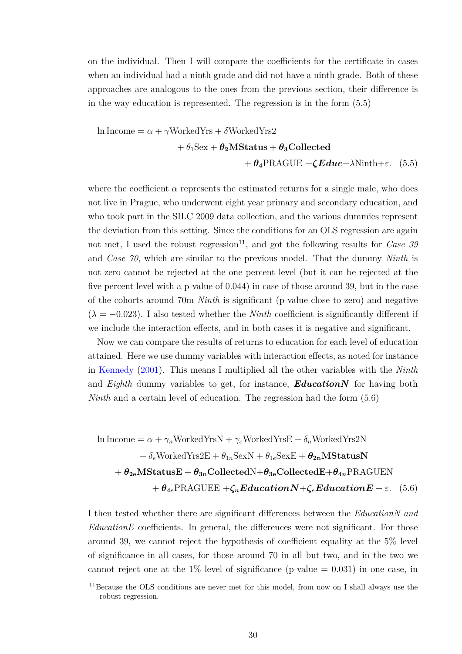on the individual. Then I will compare the coefficients for the certificate in cases when an individual had a ninth grade and did not have a ninth grade. Both of these approaches are analogous to the ones from the previous section, their difference is in the way education is represented. The regression is in the form [\(5.5\)](#page-29-0)

<span id="page-29-0"></span>
$$
\ln \text{Income} = \alpha + \gamma \text{WorkedYrs} + \delta \text{WorkedYrs2} + \theta_1 \text{Sex} + \theta_2 \text{MStatus} + \theta_3 \text{Collected} + \theta_4 \text{PRAGUE} + \zeta \text{Educ} + \lambda \text{Ninth} + \varepsilon. \quad (5.5)
$$

where the coefficient  $\alpha$  represents the estimated returns for a single male, who does not live in Prague, who underwent eight year primary and secondary education, and who took part in the SILC 2009 data collection, and the various dummies represent the deviation from this setting. Since the conditions for an OLS regression are again not met, I used the robust regression<sup>[11](#page-29-1)</sup>, and got the following results for *Case 39* and *Case 70*, which are similar to the previous model. That the dummy *Ninth* is not zero cannot be rejected at the one percent level (but it can be rejected at the five percent level with a p-value of 0.044) in case of those around 39, but in the case of the cohorts around 70m *Ninth* is significant (p-value close to zero) and negative  $(\lambda = -0.023)$ . I also tested whether the *Ninth* coefficient is significantly different if we include the interaction effects, and in both cases it is negative and significant.

Now we can compare the results of returns to education for each level of education attained. Here we use dummy variables with interaction effects, as noted for instance in [Kennedy](#page-47-11) [\(2001\)](#page-47-11). This means I multiplied all the other variables with the *Ninth* and *Eighth* dummy variables to get, for instance, *EducationN* for having both *Ninth* and a certain level of education. The regression had the form  $(5.6)$ 

<span id="page-29-2"></span>
$$
\ln \text{Income} = \alpha + \gamma_n \text{WorkedYrsN} + \gamma_e \text{WorkedYrsE} + \delta_n \text{WorkedYrs2N}
$$

$$
+ \delta_e \text{WorkedYrs2E} + \theta_{1n} \text{SexN} + \theta_{1e} \text{SexE} + \theta_{2n} \text{MStatusN}
$$

$$
+ \theta_{2e} \text{MStatusE} + \theta_{3n} \text{CollectedN} + \theta_{3e} \text{CollectedE} + \theta_{4n} \text{PRAGUEN}
$$

$$
+ \theta_{4e} \text{PRAGUEE} + \zeta_n \text{EducationN} + \zeta_e \text{EducationE} + \varepsilon. \quad (5.6)
$$

I then tested whether there are significant differences between the *EducationN and EducationE* coefficients. In general, the differences were not significant. For those around 39, we cannot reject the hypothesis of coefficient equality at the 5% level of significance in all cases, for those around 70 in all but two, and in the two we cannot reject one at the  $1\%$  level of significance (p-value = 0.031) in one case, in

<span id="page-29-1"></span><sup>11</sup>Because the OLS conditions are never met for this model, from now on I shall always use the robust regression.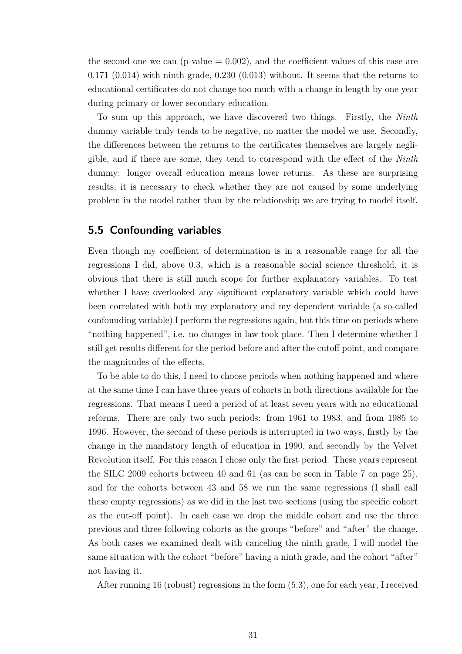the second one we can (p-value  $= 0.002$ ), and the coefficient values of this case are  $0.171$   $(0.014)$  with ninth grade,  $0.230$   $(0.013)$  without. It seems that the returns to educational certificates do not change too much with a change in length by one year during primary or lower secondary education.

To sum up this approach, we have discovered two things. Firstly, the *Ninth* dummy variable truly tends to be negative, no matter the model we use. Secondly, the differences between the returns to the certificates themselves are largely negligible, and if there are some, they tend to correspond with the effect of the *Ninth* dummy: longer overall education means lower returns. As these are surprising results, it is necessary to check whether they are not caused by some underlying problem in the model rather than by the relationship we are trying to model itself.

### <span id="page-30-0"></span>**5.5 Confounding variables**

Even though my coefficient of determination is in a reasonable range for all the regressions I did, above 0.3, which is a reasonable social science threshold, it is obvious that there is still much scope for further explanatory variables. To test whether I have overlooked any significant explanatory variable which could have been correlated with both my explanatory and my dependent variable (a so-called confounding variable) I perform the regressions again, but this time on periods where "nothing happened", i.e. no changes in law took place. Then I determine whether I still get results different for the period before and after the cutoff point, and compare the magnitudes of the effects.

To be able to do this, I need to choose periods when nothing happened and where at the same time I can have three years of cohorts in both directions available for the regressions. That means I need a period of at least seven years with no educational reforms. There are only two such periods: from 1961 to 1983, and from 1985 to 1996. However, the second of these periods is interrupted in two ways, firstly by the change in the mandatory length of education in 1990, and secondly by the Velvet Revolution itself. For this reason I chose only the first period. These years represent the SILC 2009 cohorts between 40 and 61 (as can be seen in Table [7](#page-24-1) on page [25\)](#page-24-1), and for the cohorts between 43 and 58 we run the same regressions (I shall call these empty regressions) as we did in the last two sections (using the specific cohort as the cut-off point). In each case we drop the middle cohort and use the three previous and three following cohorts as the groups "before" and "after" the change. As both cases we examined dealt with canceling the ninth grade, I will model the same situation with the cohort "before" having a ninth grade, and the cohort "after" not having it.

After running 16 (robust) regressions in the form [\(5.3\)](#page-26-1), one for each year, I received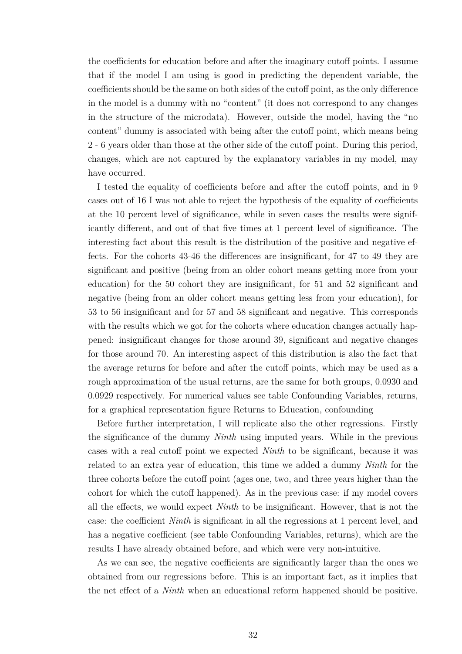the coefficients for education before and after the imaginary cutoff points. I assume that if the model I am using is good in predicting the dependent variable, the coefficients should be the same on both sides of the cutoff point, as the only difference in the model is a dummy with no "content" (it does not correspond to any changes in the structure of the microdata). However, outside the model, having the "no content" dummy is associated with being after the cutoff point, which means being 2 - 6 years older than those at the other side of the cutoff point. During this period, changes, which are not captured by the explanatory variables in my model, may have occurred.

I tested the equality of coefficients before and after the cutoff points, and in 9 cases out of 16 I was not able to reject the hypothesis of the equality of coefficients at the 10 percent level of significance, while in seven cases the results were significantly different, and out of that five times at 1 percent level of significance. The interesting fact about this result is the distribution of the positive and negative effects. For the cohorts 43-46 the differences are insignificant, for 47 to 49 they are significant and positive (being from an older cohort means getting more from your education) for the 50 cohort they are insignificant, for 51 and 52 significant and negative (being from an older cohort means getting less from your education), for 53 to 56 insignificant and for 57 and 58 significant and negative. This corresponds with the results which we got for the cohorts where education changes actually happened: insignificant changes for those around 39, significant and negative changes for those around 70. An interesting aspect of this distribution is also the fact that the average returns for before and after the cutoff points, which may be used as a rough approximation of the usual returns, are the same for both groups, 0.0930 and 0.0929 respectively. For numerical values see table [Confounding Variables, returns,](#page-33-0) for a graphical representation figure [Returns to Education, confounding](#page-32-0)

Before further interpretation, I will replicate also the other regressions. Firstly the significance of the dummy *Ninth* using imputed years. While in the previous cases with a real cutoff point we expected *Ninth* to be significant, because it was related to an extra year of education, this time we added a dummy *Ninth* for the three cohorts before the cutoff point (ages one, two, and three years higher than the cohort for which the cutoff happened). As in the previous case: if my model covers all the effects, we would expect *Ninth* to be insignificant. However, that is not the case: the coefficient *Ninth* is significant in all the regressions at 1 percent level, and has a negative coefficient (see table [Confounding Variables, returns\)](#page-33-0), which are the results I have already obtained before, and which were very non-intuitive.

As we can see, the negative coefficients are significantly larger than the ones we obtained from our regressions before. This is an important fact, as it implies that the net effect of a *Ninth* when an educational reform happened should be positive.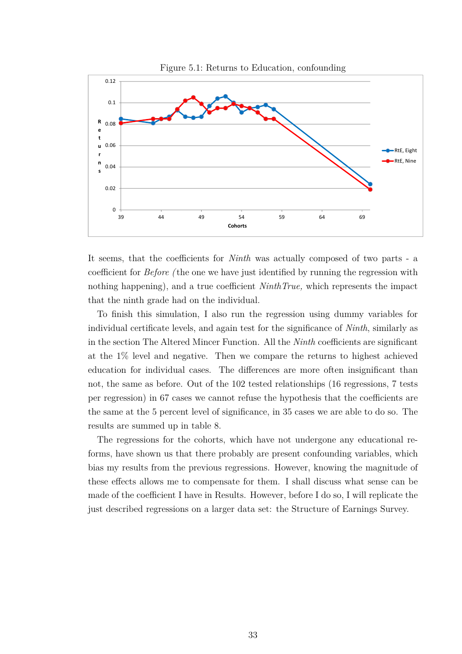<span id="page-32-0"></span>

It seems, that the coefficients for *Ninth* was actually composed of two parts - a coefficient for *Before (* the one we have just identified by running the regression with nothing happening), and a true coefficient *NinthTrue,* which represents the impact that the ninth grade had on the individual.

To finish this simulation, I also run the regression using dummy variables for individual certificate levels, and again test for the significance of *Ninth*, similarly as in the section [The Altered Mincer Function.](#page-28-0) All the *Ninth* coefficients are significant at the 1% level and negative. Then we compare the returns to highest achieved education for individual cases. The differences are more often insignificant than not, the same as before. Out of the 102 tested relationships (16 regressions, 7 tests per regression) in 67 cases we cannot refuse the hypothesis that the coefficients are the same at the 5 percent level of significance, in 35 cases we are able to do so. The results are summed up in table [8.](#page-33-0)

The regressions for the cohorts, which have not undergone any educational reforms, have shown us that there probably are present confounding variables, which bias my results from the previous regressions. However, knowing the magnitude of these effects allows me to compensate for them. I shall discuss what sense can be made of the coefficient I have in [Results.](#page-37-0) However, before I do so, I will replicate the just described regressions on a larger data set: the Structure of Earnings Survey.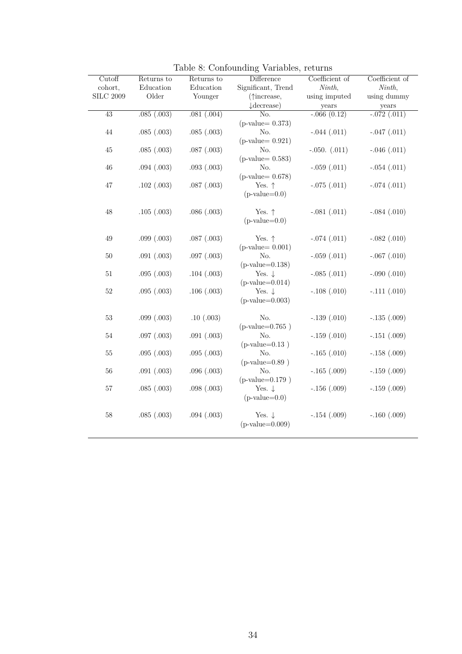| Cutoff           | Returns to      | Returns to      | $\overline{\text{Difference}}$         | Coefficient of    | Coefficient of   |
|------------------|-----------------|-----------------|----------------------------------------|-------------------|------------------|
| cohort,          | Education       | Education       | Significant, Trend                     | Ninth,            | Ninth,           |
| <b>SILC 2009</b> | Older           | Younger         | (†increase,                            | using imputed     | using dummy      |
|                  |                 |                 | $\downarrow$ decrease)                 | years             | years            |
| 43               | .085(.003)      | .081(.004)      | No.                                    | $-.066(0.12)$     | $-.072(.011)$    |
|                  |                 |                 | $(p-value=0.373)$                      |                   |                  |
| $44\,$           | .085(.003)      | .085(.003)      | No.                                    | $-.044(.011)$     | $-.047(.011)$    |
|                  |                 |                 | $(p\text{-value} = 0.921)$             |                   |                  |
| $45\,$           | .085(.003)      | $.087$ $(.003)$ | No.                                    | $-.050.$ $(.011)$ | $-.046(.011)$    |
|                  |                 |                 | $(p-value=0.583)$                      |                   |                  |
| $46\,$           | .094(.003)      | .093(.003)      | No.                                    | $-.059(.011)$     | $-.054(.011)$    |
|                  |                 |                 | $(p-value=0.678)$                      |                   |                  |
| $47\,$           | .102(.003)      | .087(.003)      | Yes. $\uparrow$                        | $-.075(.011)$     | $-.074(.011)$    |
|                  |                 |                 | $(p-value=0.0)$                        |                   |                  |
|                  |                 |                 |                                        |                   |                  |
| 48               | .105(.003)      | .086(.003)      | Yes. $\uparrow$                        | $-.081(.011)$     | $-.084(.010)$    |
|                  |                 |                 | $(p-value=0.0)$                        |                   |                  |
|                  |                 |                 |                                        |                   |                  |
| $49\,$           | $.099$ $(.003)$ | $.087$ $(.003)$ | Yes. $\uparrow$                        | $-.074(.011)$     | $-.082(.010)$    |
|                  |                 |                 | $(p-value=0.001)$                      |                   |                  |
| 50               | .091(.003)      | $.097$ $(.003)$ | No.                                    | $-.059(.011)$     | $-.067$ $(.010)$ |
|                  |                 |                 | $(p-value=0.138)$                      |                   |                  |
| $51\,$           | .095(.003)      | .104(.003)      | Yes. $\downarrow$<br>$(p-value=0.014)$ | $-.085(.011)$     | $-.090(.010)$    |
|                  |                 | .106(.003)      |                                        | $-.108(.010)$     |                  |
| $52\,$           | .095(.003)      |                 | Yes. $\downarrow$<br>$(p-value=0.003)$ |                   | $-.111(.010)$    |
|                  |                 |                 |                                        |                   |                  |
| $53\,$           | .099(.003)      | .10(.003)       | No.                                    | $-.139(.010)$     | $-.135(.009)$    |
|                  |                 |                 | $(p-value=0.765)$                      |                   |                  |
| $54\,$           | $.097$ $(.003)$ | .091(.003)      | No.                                    | $-.159(.010)$     | $-.151(.009)$    |
|                  |                 |                 | $(p-value=0.13)$                       |                   |                  |
| $55\,$           | .095(.003)      | .095(.003)      | No.                                    | $-.165(.010)$     | $-.158(.009)$    |
|                  |                 |                 | $(p-value=0.89)$                       |                   |                  |
| $56\,$           | .091(.003)      | .096(.003)      | No.                                    | $-.165(.009)$     | $-.159(.009)$    |
|                  |                 |                 | $(p-value=0.179)$                      |                   |                  |
| 57               | .085(.003)      | .098(.003)      | Yes. $\downarrow$                      | $-.156(.009)$     | $-.159(.009)$    |
|                  |                 |                 | $(p-value=0.0)$                        |                   |                  |
|                  |                 |                 |                                        |                   |                  |
| $58\,$           | .085(.003)      | .094(.003)      | Yes. $\downarrow$                      | $-.154(.009)$     | $-.160(.009)$    |
|                  |                 |                 | $(p-value=0.009)$                      |                   |                  |
|                  |                 |                 |                                        |                   |                  |

<span id="page-33-0"></span>Table 8: Confounding Variables, returns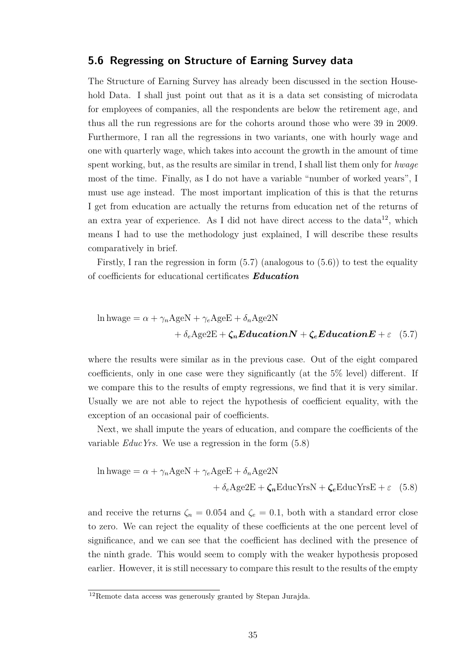#### <span id="page-34-0"></span>**5.6 Regressing on Structure of Earning Survey data**

The Structure of Earning Survey has already been discussed in the section [House](#page-18-0)[hold Data.](#page-18-0) I shall just point out that as it is a data set consisting of microdata for employees of companies, all the respondents are below the retirement age, and thus all the run regressions are for the cohorts around those who were 39 in 2009. Furthermore, I ran all the regressions in two variants, one with hourly wage and one with quarterly wage, which takes into account the growth in the amount of time spent working, but, as the results are similar in trend, I shall list them only for *hwage* most of the time*.* Finally, as I do not have a variable "number of worked years", I must use age instead. The most important implication of this is that the returns I get from education are actually the returns from education net of the returns of an extra year of experience. As I did not have direct access to the data<sup>[12](#page-34-1)</sup>, which means I had to use the methodology just explained, I will describe these results comparatively in brief.

Firstly, I ran the regression in form  $(5.7)$  (analogous to  $(5.6)$ ) to test the equality of coefficients for educational certificates *Education*

<span id="page-34-2"></span>
$$
\ln \text{hwage} = \alpha + \gamma_n \text{AgeN} + \gamma_e \text{AgeE} + \delta_n \text{Age2N} + \delta_e \text{Age2E} + \zeta_n \text{Education} \mathbf{N} + \zeta_e \text{Education} \mathbf{E} + \varepsilon \quad (5.7)
$$

where the results were similar as in the previous case. Out of the eight compared coefficients, only in one case were they significantly (at the 5% level) different. If we compare this to the results of empty regressions, we find that it is very similar. Usually we are not able to reject the hypothesis of coefficient equality, with the exception of an occasional pair of coefficients.

Next, we shall impute the years of education, and compare the coefficients of the variable *EducYrs.* We use a regression in the form [\(5.8\)](#page-34-3)

<span id="page-34-3"></span>
$$
\ln \text{hwage} = \alpha + \gamma_n \text{AgeN} + \gamma_e \text{AgeE} + \delta_n \text{Age2N} + \delta_e \text{Age2E} + \zeta_n \text{EducYrsN} + \zeta_e \text{EducYrsE} + \varepsilon \quad (5.8)
$$

and receive the returns  $\zeta_n = 0.054$  and  $\zeta_e = 0.1$ , both with a standard error close to zero. We can reject the equality of these coefficients at the one percent level of significance, and we can see that the coefficient has declined with the presence of the ninth grade. This would seem to comply with the weaker hypothesis proposed earlier. However, it is still necessary to compare this result to the results of the empty

<span id="page-34-1"></span><sup>12</sup>Remote data access was generously granted by Stepan Jurajda.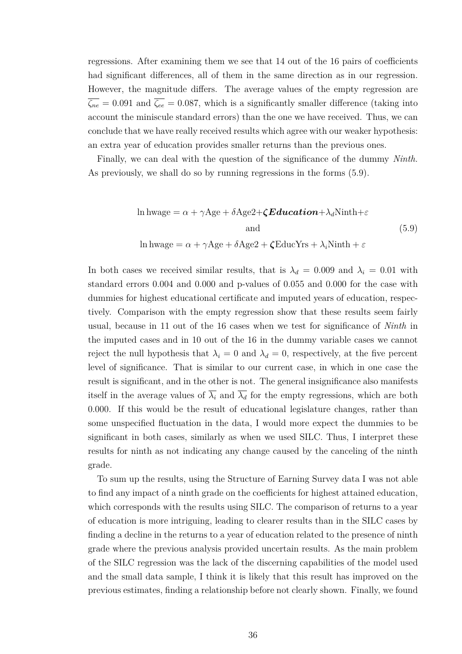regressions. After examining them we see that 14 out of the 16 pairs of coefficients had significant differences, all of them in the same direction as in our regression. However, the magnitude differs. The average values of the empty regression are  $\overline{\zeta_{ne}} = 0.091$  and  $\overline{\zeta_{ee}} = 0.087$ , which is a significantly smaller difference (taking into account the miniscule standard errors) than the one we have received. Thus, we can conclude that we have really received results which agree with our weaker hypothesis: an extra year of education provides smaller returns than the previous ones.

Finally, we can deal with the question of the significance of the dummy *Ninth.* As previously, we shall do so by running regressions in the forms [\(5.9\)](#page-35-0).

<span id="page-35-0"></span>
$$
\ln \text{hwage} = \alpha + \gamma \text{Age} + \delta \text{Age2} + \zeta \text{Education} + \lambda_d \text{Ninth} + \varepsilon
$$
\n
$$
\text{and} \tag{5.9}
$$
\n
$$
\ln \text{hwage} = \alpha + \gamma \text{Age} + \delta \text{Age2} + \zeta \text{EducYrs} + \lambda_i \text{Ninth} + \varepsilon
$$

In both cases we received similar results, that is  $\lambda_d = 0.009$  and  $\lambda_i = 0.01$  with standard errors 0.004 and 0.000 and p-values of 0.055 and 0.000 for the case with dummies for highest educational certificate and imputed years of education, respectively. Comparison with the empty regression show that these results seem fairly usual, because in 11 out of the 16 cases when we test for significance of *Ninth* in the imputed cases and in 10 out of the 16 in the dummy variable cases we cannot reject the null hypothesis that  $\lambda_i = 0$  and  $\lambda_d = 0$ , respectively, at the five percent level of significance. That is similar to our current case, in which in one case the result is significant, and in the other is not. The general insignificance also manifests itself in the average values of  $\overline{\lambda_i}$  and  $\overline{\lambda_d}$  for the empty regressions, which are both 0.000. If this would be the result of educational legislature changes, rather than some unspecified fluctuation in the data, I would more expect the dummies to be significant in both cases, similarly as when we used SILC. Thus, I interpret these results for ninth as not indicating any change caused by the canceling of the ninth grade.

To sum up the results, using the Structure of Earning Survey data I was not able to find any impact of a ninth grade on the coefficients for highest attained education, which corresponds with the results using SILC. The comparison of returns to a year of education is more intriguing, leading to clearer results than in the SILC cases by finding a decline in the returns to a year of education related to the presence of ninth grade where the previous analysis provided uncertain results. As the main problem of the SILC regression was the lack of the discerning capabilities of the model used and the small data sample, I think it is likely that this result has improved on the previous estimates, finding a relationship before not clearly shown. Finally, we found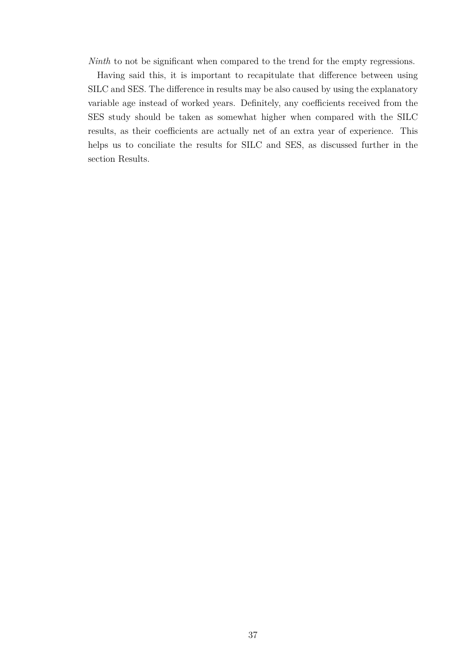*Ninth* to not be significant when compared to the trend for the empty regressions.

Having said this, it is important to recapitulate that difference between using SILC and SES. The difference in results may be also caused by using the explanatory variable age instead of worked years. Definitely, any coefficients received from the SES study should be taken as somewhat higher when compared with the SILC results, as their coefficients are actually net of an extra year of experience. This helps us to conciliate the results for SILC and SES, as discussed further in the section [Results.](#page-37-0)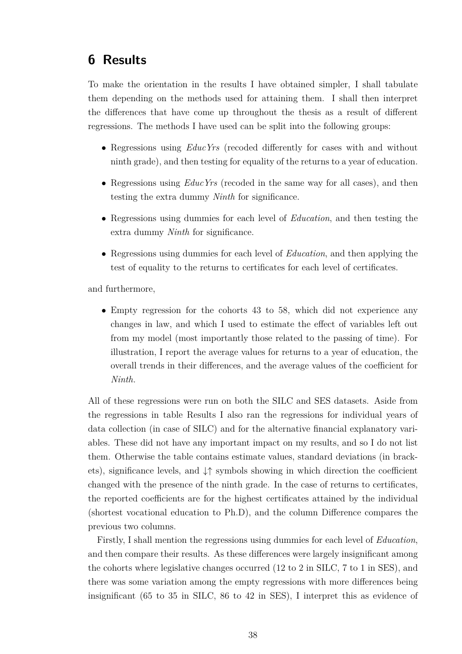## <span id="page-37-0"></span>**6 Results**

To make the orientation in the results I have obtained simpler, I shall tabulate them depending on the methods used for attaining them. I shall then interpret the differences that have come up throughout the thesis as a result of different regressions. The methods I have used can be split into the following groups:

- Regressions using *EducYrs* (recoded differently for cases with and without ninth grade), and then testing for equality of the returns to a year of education.
- Regressions using *EducYrs* (recoded in the same way for all cases), and then testing the extra dummy *Ninth* for significance.
- Regressions using dummies for each level of *Education*, and then testing the extra dummy *Ninth* for significance.
- Regressions using dummies for each level of *Education*, and then applying the test of equality to the returns to certificates for each level of certificates.

and furthermore,

• Empty regression for the cohorts 43 to 58, which did not experience any changes in law, and which I used to estimate the effect of variables left out from my model (most importantly those related to the passing of time). For illustration, I report the average values for returns to a year of education, the overall trends in their differences, and the average values of the coefficient for *Ninth.*

All of these regressions were run on both the SILC and SES datasets. Aside from the regressions in table [Results](#page-38-0) I also ran the regressions for individual years of data collection (in case of SILC) and for the alternative financial explanatory variables. These did not have any important impact on my results, and so I do not list them. Otherwise the table contains estimate values, standard deviations (in brackets), significance levels, and ↓↑ symbols showing in which direction the coefficient changed with the presence of the ninth grade. In the case of returns to certificates, the reported coefficients are for the highest certificates attained by the individual (shortest vocational education to Ph.D), and the column Difference compares the previous two columns.

Firstly, I shall mention the regressions using dummies for each level of *Education*, and then compare their results. As these differences were largely insignificant among the cohorts where legislative changes occurred (12 to 2 in SILC, 7 to 1 in SES), and there was some variation among the empty regressions with more differences being insignificant (65 to 35 in SILC, 86 to 42 in SES), I interpret this as evidence of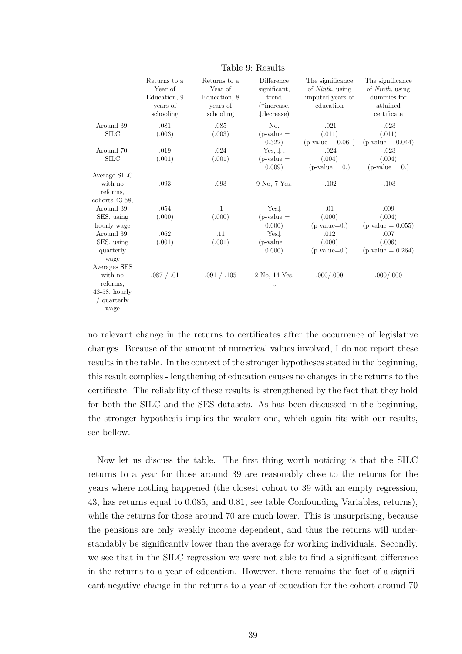|                   | Returns to a | Returns to a | Difference             | The significance        | The significance        |
|-------------------|--------------|--------------|------------------------|-------------------------|-------------------------|
|                   | Year of      | Year of      | significant.           | of <i>Ninth</i> , using | of <i>Ninth</i> , using |
|                   | Education, 9 | Education, 8 | trend                  | imputed years of        | dummies for             |
|                   | years of     | years of     | $(\uparrow$ increase,  | education               | attained                |
|                   | schooling    | schooling    | $\downarrow$ decrease) |                         | certificate             |
| Around 39,        | .081         | $.085$       | No.                    | $-.021$                 | $-.023$                 |
| <b>SILC</b>       | (.003)       | (.003)       | $(p-value =$           | (.011)                  | (.011)                  |
|                   |              |              | 0.322)                 | $(p-value = 0.061)$     | $(p-value = 0.044)$     |
| Around 70,        | .019         | .024         | Yes, $\downarrow$ .    | $-.024$                 | $-.023$                 |
| <b>SILC</b>       | (.001)       | (.001)       | $(p-value =$           | (.004)                  | (.004)                  |
|                   |              |              | 0.009)                 | $(p-value = 0.)$        | $(p-value = 0.)$        |
| Average SILC      |              |              |                        |                         |                         |
| with no           | .093         | .093         | 9 No. 7 Yes.           | $-.102$                 | $-.103$                 |
| reforms,          |              |              |                        |                         |                         |
| cohorts $43-58$ , |              |              |                        |                         |                         |
| Around 39,        | .054         | $\cdot$ 1    | $Yes+$                 | .01                     | .009                    |
| SES, using        | (.000)       | (.000)       | $(p-value =$           | (.000)                  | (.004)                  |
| hourly wage       |              |              | 0.000)                 | $(p-value=0.)$          | $(p-value = 0.055)$     |
| Around 39,        | .062         | .11          | Yest                   | .012                    | .007                    |
| SES, using        | (.001)       | (.001)       | $(p-value =$           | (.000)                  | (.006)                  |
| quarterly         |              |              | 0.000)                 | $(p-value=0.)$          | $(p-value = 0.264)$     |
| wage              |              |              |                        |                         |                         |
| Averages SES      |              |              |                        |                         |                         |
| with no           | .087 / .01   | .091 / .105  | 2 No. 14 Yes.          | .000/.000               | .000/.000               |
| reforms,          |              |              | ↓                      |                         |                         |
| $43-58$ , hourly  |              |              |                        |                         |                         |
| / quarterly       |              |              |                        |                         |                         |
| wage              |              |              |                        |                         |                         |
|                   |              |              |                        |                         |                         |

<span id="page-38-0"></span>Table 9: Results

no relevant change in the returns to certificates after the occurrence of legislative changes. Because of the amount of numerical values involved, I do not report these results in the table. In the context of the stronger hypotheses stated in the beginning, this result complies - lengthening of education causes no changes in the returns to the certificate. The reliability of these results is strengthened by the fact that they hold for both the SILC and the SES datasets. As has been discussed in the beginning, the stronger hypothesis implies the weaker one, which again fits with our results, see bellow.

Now let us discuss the table. The first thing worth noticing is that the SILC returns to a year for those around 39 are reasonably close to the returns for the years where nothing happened (the closest cohort to 39 with an empty regression, 43, has returns equal to 0.085, and 0.81, see table [Confounding Variables, returns\)](#page-33-0), while the returns for those around 70 are much lower. This is unsurprising, because the pensions are only weakly income dependent, and thus the returns will understandably be significantly lower than the average for working individuals. Secondly, we see that in the SILC regression we were not able to find a significant difference in the returns to a year of education. However, there remains the fact of a significant negative change in the returns to a year of education for the cohort around 70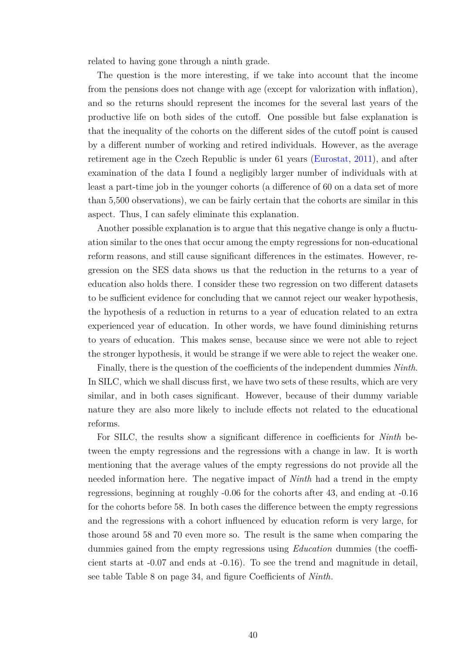related to having gone through a ninth grade.

The question is the more interesting, if we take into account that the income from the pensions does not change with age (except for valorization with inflation), and so the returns should represent the incomes for the several last years of the productive life on both sides of the cutoff. One possible but false explanation is that the inequality of the cohorts on the different sides of the cutoff point is caused by a different number of working and retired individuals. However, as the average retirement age in the Czech Republic is under 61 years [\(Eurostat,](#page-46-12) [2011\)](#page-46-12), and after examination of the data I found a negligibly larger number of individuals with at least a part-time job in the younger cohorts (a difference of 60 on a data set of more than 5,500 observations), we can be fairly certain that the cohorts are similar in this aspect. Thus, I can safely eliminate this explanation.

Another possible explanation is to argue that this negative change is only a fluctuation similar to the ones that occur among the empty regressions for non-educational reform reasons, and still cause significant differences in the estimates. However, regression on the SES data shows us that the reduction in the returns to a year of education also holds there. I consider these two regression on two different datasets to be sufficient evidence for concluding that we cannot reject our weaker hypothesis, the hypothesis of a reduction in returns to a year of education related to an extra experienced year of education. In other words, we have found diminishing returns to years of education. This makes sense, because since we were not able to reject the stronger hypothesis, it would be strange if we were able to reject the weaker one.

Finally, there is the question of the coefficients of the independent dummies *Ninth*. In SILC, which we shall discuss first, we have two sets of these results, which are very similar, and in both cases significant. However, because of their dummy variable nature they are also more likely to include effects not related to the educational reforms.

For SILC, the results show a significant difference in coefficients for *Ninth* between the empty regressions and the regressions with a change in law. It is worth mentioning that the average values of the empty regressions do not provide all the needed information here. The negative impact of *Ninth* had a trend in the empty regressions, beginning at roughly -0.06 for the cohorts after 43, and ending at -0.16 for the cohorts before 58. In both cases the difference between the empty regressions and the regressions with a cohort influenced by education reform is very large, for those around 58 and 70 even more so. The result is the same when comparing the dummies gained from the empty regressions using *Education* dummies (the coefficient starts at -0.07 and ends at -0.16). To see the trend and magnitude in detail, see table Table [8](#page-33-0) on page [34,](#page-33-0) and figure [Coefficients of](#page-32-0) *Ninth*.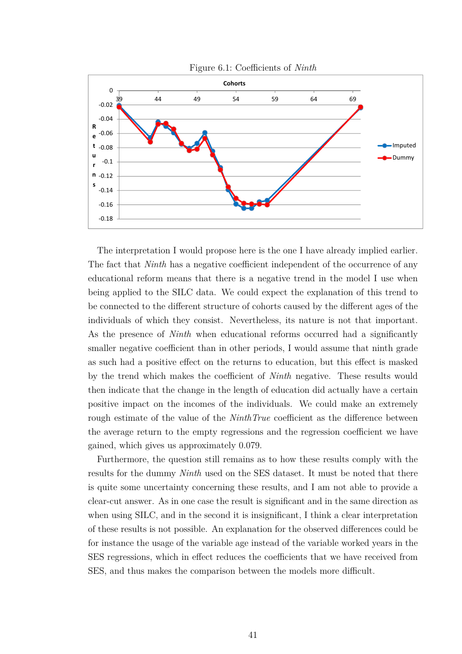

The interpretation I would propose here is the one I have already implied earlier. The fact that *Ninth* has a negative coefficient independent of the occurrence of any educational reform means that there is a negative trend in the model I use when being applied to the SILC data. We could expect the explanation of this trend to be connected to the different structure of cohorts caused by the different ages of the individuals of which they consist. Nevertheless, its nature is not that important. As the presence of *Ninth* when educational reforms occurred had a significantly smaller negative coefficient than in other periods, I would assume that ninth grade as such had a positive effect on the returns to education, but this effect is masked by the trend which makes the coefficient of *Ninth* negative. These results would then indicate that the change in the length of education did actually have a certain positive impact on the incomes of the individuals. We could make an extremely rough estimate of the value of the *NinthTrue* coefficient as the difference between the average return to the empty regressions and the regression coefficient we have gained, which gives us approximately 0.079.

Furthermore, the question still remains as to how these results comply with the results for the dummy *Ninth* used on the SES dataset. It must be noted that there is quite some uncertainty concerning these results, and I am not able to provide a clear-cut answer. As in one case the result is significant and in the same direction as when using SILC, and in the second it is insignificant, I think a clear interpretation of these results is not possible. An explanation for the observed differences could be for instance the usage of the variable age instead of the variable worked years in the SES regressions, which in effect reduces the coefficients that we have received from SES, and thus makes the comparison between the models more difficult.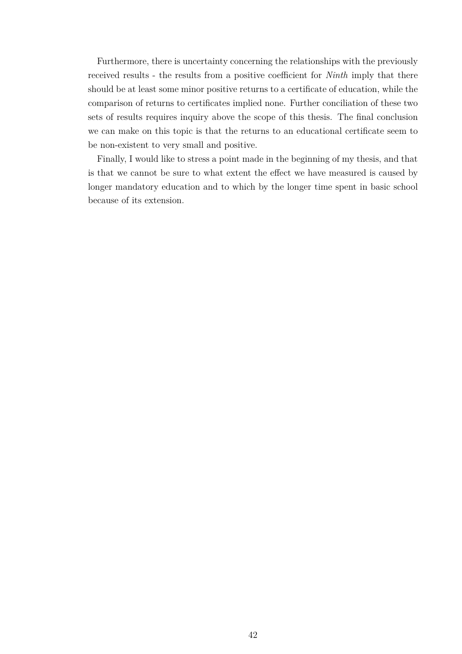Furthermore, there is uncertainty concerning the relationships with the previously received results - the results from a positive coefficient for *Ninth* imply that there should be at least some minor positive returns to a certificate of education, while the comparison of returns to certificates implied none. Further conciliation of these two sets of results requires inquiry above the scope of this thesis. The final conclusion we can make on this topic is that the returns to an educational certificate seem to be non-existent to very small and positive.

Finally, I would like to stress a point made in the beginning of my thesis, and that is that we cannot be sure to what extent the effect we have measured is caused by longer mandatory education and to which by the longer time spent in basic school because of its extension.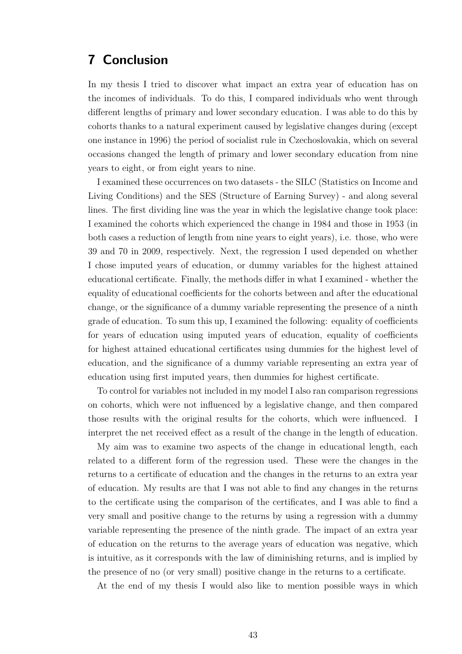## <span id="page-42-0"></span>**7 Conclusion**

In my thesis I tried to discover what impact an extra year of education has on the incomes of individuals. To do this, I compared individuals who went through different lengths of primary and lower secondary education. I was able to do this by cohorts thanks to a natural experiment caused by legislative changes during (except one instance in 1996) the period of socialist rule in Czechoslovakia, which on several occasions changed the length of primary and lower secondary education from nine years to eight, or from eight years to nine.

I examined these occurrences on two datasets - the SILC (Statistics on Income and Living Conditions) and the SES (Structure of Earning Survey) - and along several lines. The first dividing line was the year in which the legislative change took place: I examined the cohorts which experienced the change in 1984 and those in 1953 (in both cases a reduction of length from nine years to eight years), i.e. those, who were 39 and 70 in 2009, respectively. Next, the regression I used depended on whether I chose imputed years of education, or dummy variables for the highest attained educational certificate. Finally, the methods differ in what I examined - whether the equality of educational coefficients for the cohorts between and after the educational change, or the significance of a dummy variable representing the presence of a ninth grade of education. To sum this up, I examined the following: equality of coefficients for years of education using imputed years of education, equality of coefficients for highest attained educational certificates using dummies for the highest level of education, and the significance of a dummy variable representing an extra year of education using first imputed years, then dummies for highest certificate.

To control for variables not included in my model I also ran comparison regressions on cohorts, which were not influenced by a legislative change, and then compared those results with the original results for the cohorts, which were influenced. I interpret the net received effect as a result of the change in the length of education.

My aim was to examine two aspects of the change in educational length, each related to a different form of the regression used. These were the changes in the returns to a certificate of education and the changes in the returns to an extra year of education. My results are that I was not able to find any changes in the returns to the certificate using the comparison of the certificates, and I was able to find a very small and positive change to the returns by using a regression with a dummy variable representing the presence of the ninth grade. The impact of an extra year of education on the returns to the average years of education was negative, which is intuitive, as it corresponds with the law of diminishing returns, and is implied by the presence of no (or very small) positive change in the returns to a certificate.

At the end of my thesis I would also like to mention possible ways in which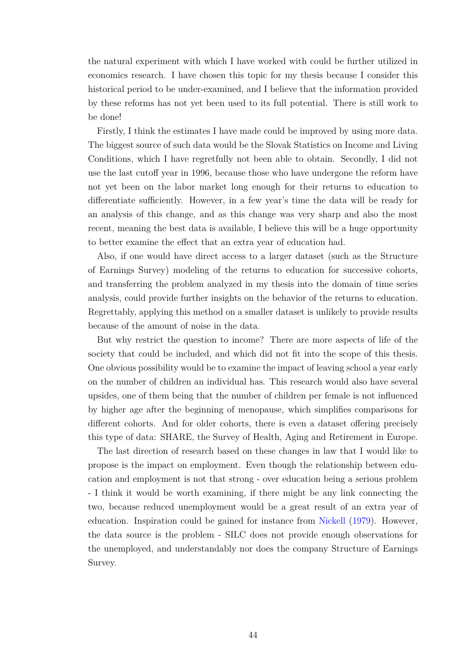the natural experiment with which I have worked with could be further utilized in economics research. I have chosen this topic for my thesis because I consider this historical period to be under-examined, and I believe that the information provided by these reforms has not yet been used to its full potential. There is still work to be done!

Firstly, I think the estimates I have made could be improved by using more data. The biggest source of such data would be the Slovak Statistics on Income and Living Conditions, which I have regretfully not been able to obtain. Secondly, I did not use the last cutoff year in 1996, because those who have undergone the reform have not yet been on the labor market long enough for their returns to education to differentiate sufficiently. However, in a few year's time the data will be ready for an analysis of this change, and as this change was very sharp and also the most recent, meaning the best data is available, I believe this will be a huge opportunity to better examine the effect that an extra year of education had.

Also, if one would have direct access to a larger dataset (such as the Structure of Earnings Survey) modeling of the returns to education for successive cohorts, and transferring the problem analyzed in my thesis into the domain of time series analysis, could provide further insights on the behavior of the returns to education. Regrettably, applying this method on a smaller dataset is unlikely to provide results because of the amount of noise in the data.

But why restrict the question to income? There are more aspects of life of the society that could be included, and which did not fit into the scope of this thesis. One obvious possibility would be to examine the impact of leaving school a year early on the number of children an individual has. This research would also have several upsides, one of them being that the number of children per female is not influenced by higher age after the beginning of menopause, which simplifies comparisons for different cohorts. And for older cohorts, there is even a dataset offering precisely this type of data: SHARE, the Survey of Health, Aging and Retirement in Europe.

The last direction of research based on these changes in law that I would like to propose is the impact on employment. Even though the relationship between education and employment is not that strong - over education being a serious problem - I think it would be worth examining, if there might be any link connecting the two, because reduced unemployment would be a great result of an extra year of education. Inspiration could be gained for instance from [Nickell](#page-47-12) [\(1979\)](#page-47-12). However, the data source is the problem - SILC does not provide enough observations for the unemployed, and understandably nor does the company Structure of Earnings Survey.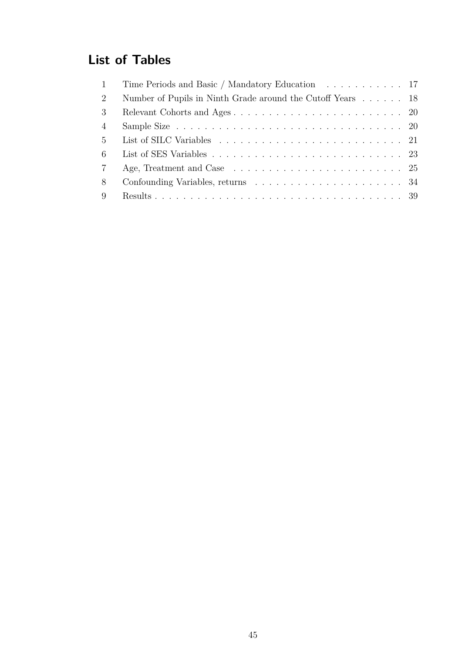# **List of Tables**

| $\mathbf{1}$    | Time Periods and Basic / Mandatory Education 17            |  |
|-----------------|------------------------------------------------------------|--|
| 2               | Number of Pupils in Ninth Grade around the Cutoff Years 18 |  |
| 3               |                                                            |  |
| $\overline{4}$  |                                                            |  |
| $5^{\circ}$     |                                                            |  |
| 6               |                                                            |  |
| $7\overline{ }$ |                                                            |  |
| 8               |                                                            |  |
| 9               |                                                            |  |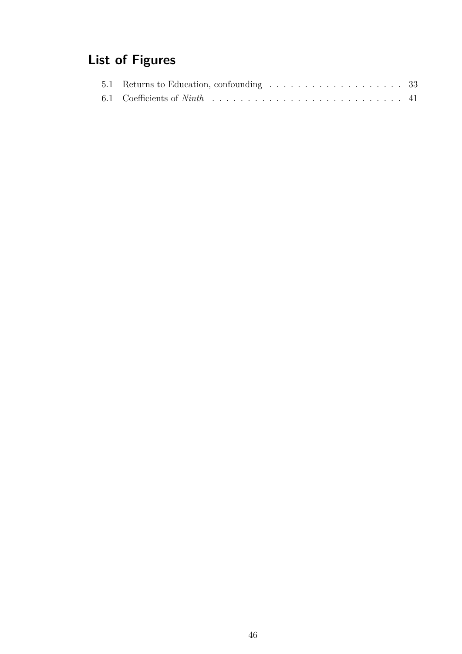# **List of Figures**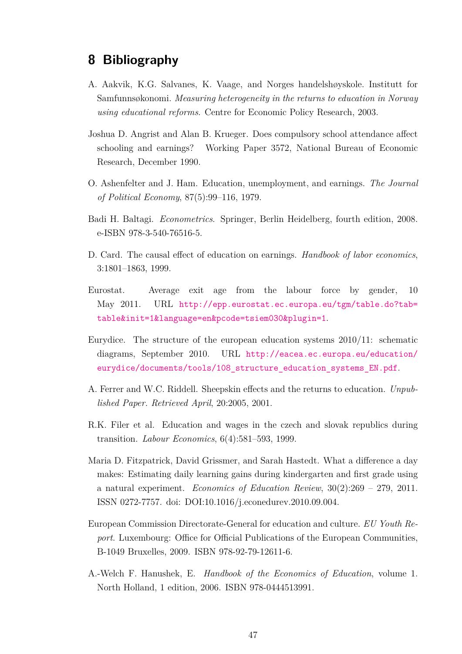## <span id="page-46-0"></span>**8 Bibliography**

- <span id="page-46-7"></span>A. Aakvik, K.G. Salvanes, K. Vaage, and Norges handelshøyskole. Institutt for Samfunnsøkonomi. *Measuring heterogeneity in the returns to education in Norway using educational reforms*. Centre for Economic Policy Research, 2003.
- <span id="page-46-6"></span>Joshua D. Angrist and Alan B. Krueger. Does compulsory school attendance affect schooling and earnings? Working Paper 3572, National Bureau of Economic Research, December 1990.
- <span id="page-46-10"></span>O. Ashenfelter and J. Ham. Education, unemployment, and earnings. *The Journal of Political Economy*, 87(5):99–116, 1979.
- <span id="page-46-11"></span>Badi H. Baltagi. *Econometrics*. Springer, Berlin Heidelberg, fourth edition, 2008. e-ISBN 978-3-540-76516-5.
- <span id="page-46-5"></span>D. Card. The causal effect of education on earnings. *Handbook of labor economics*, 3:1801–1863, 1999.
- <span id="page-46-12"></span>Eurostat. Average exit age from the labour force by gender, 10 May 2011. URL [http://epp.eurostat.ec.europa.eu/tgm/table.do?tab=](http://epp.eurostat.ec.europa.eu/tgm/table.do?tab=table&init=1&language=en&pcode=tsiem030&plugin=1) [table&init=1&language=en&pcode=tsiem030&plugin=1](http://epp.eurostat.ec.europa.eu/tgm/table.do?tab=table&init=1&language=en&pcode=tsiem030&plugin=1).
- <span id="page-46-1"></span>Eurydice. The structure of the european education systems 2010/11: schematic diagrams, September 2010. URL [http://eacea.ec.europa.eu/education/](http://eacea.ec.europa.eu/education/eurydice/documents/tools/108_structure_education_systems_EN.pdf) [eurydice/documents/tools/108\\_structure\\_education\\_systems\\_EN.pdf](http://eacea.ec.europa.eu/education/eurydice/documents/tools/108_structure_education_systems_EN.pdf).
- <span id="page-46-9"></span>A. Ferrer and W.C. Riddell. Sheepskin effects and the returns to education. *Unpublished Paper. Retrieved April*, 20:2005, 2001.
- <span id="page-46-4"></span>R.K. Filer et al. Education and wages in the czech and slovak republics during transition. *Labour Economics*, 6(4):581–593, 1999.
- <span id="page-46-2"></span>Maria D. Fitzpatrick, David Grissmer, and Sarah Hastedt. What a difference a day makes: Estimating daily learning gains during kindergarten and first grade using a natural experiment. *Economics of Education Review*, 30(2):269 – 279, 2011. ISSN 0272-7757. doi: DOI:10.1016/j.econedurev.2010.09.004.
- <span id="page-46-8"></span>European Commission Directorate-General for education and culture. *EU Youth Report*. Luxembourg: Office for Official Publications of the European Communities, B-1049 Bruxelles, 2009. ISBN 978-92-79-12611-6.
- <span id="page-46-3"></span>A.-Welch F. Hanushek, E. *Handbook of the Economics of Education*, volume 1. North Holland, 1 edition, 2006. ISBN 978-0444513991.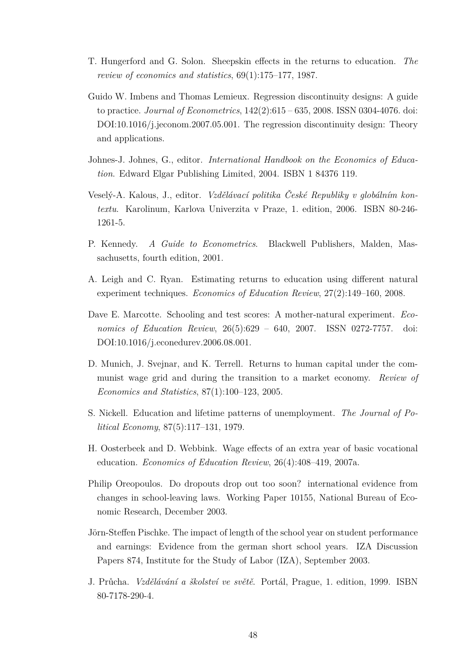- <span id="page-47-4"></span>T. Hungerford and G. Solon. Sheepskin effects in the returns to education. *The review of economics and statistics*, 69(1):175–177, 1987.
- <span id="page-47-10"></span>Guido W. Imbens and Thomas Lemieux. Regression discontinuity designs: A guide to practice. *Journal of Econometrics*, 142(2):615 – 635, 2008. ISSN 0304-4076. doi: DOI:10.1016/j.jeconom.2007.05.001. The regression discontinuity design: Theory and applications.
- <span id="page-47-5"></span>Johnes-J. Johnes, G., editor. *International Handbook on the Economics of Education*. Edward Elgar Publishing Limited, 2004. ISBN 1 84376 119.
- <span id="page-47-1"></span>Veselý-A. Kalous, J., editor. *Vzdělávací politika České Republiky v globálním kontextu*. Karolinum, Karlova Univerzita v Praze, 1. edition, 2006. ISBN 80-246- 1261-5.
- <span id="page-47-11"></span>P. Kennedy. *A Guide to Econometrics*. Blackwell Publishers, Malden, Massachusetts, fourth edition, 2001.
- <span id="page-47-2"></span>A. Leigh and C. Ryan. Estimating returns to education using different natural experiment techniques. *Economics of Education Review*, 27(2):149–160, 2008.
- <span id="page-47-6"></span>Dave E. Marcotte. Schooling and test scores: A mother-natural experiment. *Economics of Education Review*, 26(5):629 – 640, 2007. ISSN 0272-7757. doi: DOI:10.1016/j.econedurev.2006.08.001.
- <span id="page-47-3"></span>D. Munich, J. Svejnar, and K. Terrell. Returns to human capital under the communist wage grid and during the transition to a market economy. *Review of Economics and Statistics*, 87(1):100–123, 2005.
- <span id="page-47-12"></span>S. Nickell. Education and lifetime patterns of unemployment. *The Journal of Political Economy*, 87(5):117–131, 1979.
- <span id="page-47-8"></span>H. Oosterbeek and D. Webbink. Wage effects of an extra year of basic vocational education. *Economics of Education Review*, 26(4):408–419, 2007a.
- <span id="page-47-9"></span>Philip Oreopoulos. Do dropouts drop out too soon? international evidence from changes in school-leaving laws. Working Paper 10155, National Bureau of Economic Research, December 2003.
- <span id="page-47-7"></span>Jörn-Steffen Pischke. The impact of length of the school year on student performance and earnings: Evidence from the german short school years. IZA Discussion Papers 874, Institute for the Study of Labor (IZA), September 2003.
- <span id="page-47-0"></span>J. Průcha. *Vzdělávání a školství ve světě*. Portál, Prague, 1. edition, 1999. ISBN 80-7178-290-4.